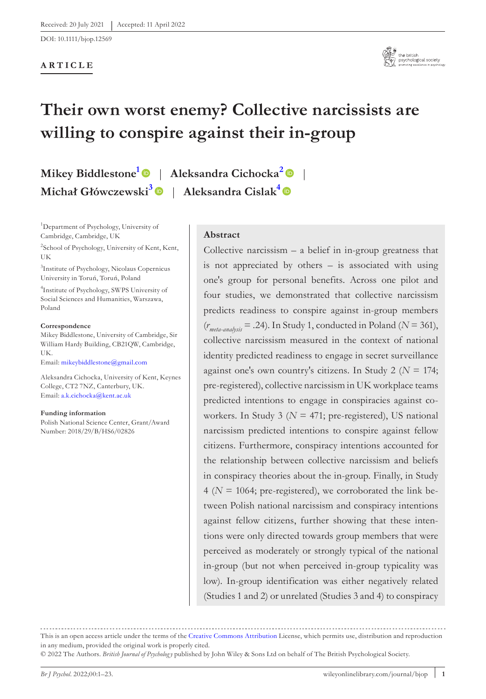DOI: 10.1111/bjop.12569

#### **ARTICLE**



# **Their own worst enemy? Collective narcissists are willing to conspire against their in-group**

**Mikey Biddleston[e1](#page-0-0)** | **Aleksandra Cichocka[2](#page-0-1)** | **Michał Główczewski[3](#page-0-2)** | **Aleksandra Cislak[4](#page-0-3)**

<span id="page-0-0"></span>1 Department of Psychology, University of Cambridge, Cambridge, UK

<span id="page-0-1"></span><sup>2</sup>School of Psychology, University of Kent, Kent, UK

<span id="page-0-2"></span>3 Institute of Psychology, Nicolaus Copernicus University in Toruń, Toruń, Poland

<span id="page-0-3"></span>4 Institute of Psychology, SWPS University of Social Sciences and Humanities, Warszawa, Poland

#### **Correspondence**

Mikey Biddlestone, University of Cambridge, Sir William Hardy Building, CB21QW, Cambridge, UK.

Email: [mikeybiddlestone@gmail.com](mailto:mikeybiddlestone@gmail.com)

Aleksandra Cichocka, University of Kent, Keynes College, CT2 7NZ, Canterbury, UK. Email: [a.k.cichocka@kent.ac.uk](mailto:a.k.cichocka@kent.ac.uk)

**Funding information**

Polish National Science Center, Grant/Award Number: 2018/29/B/HS6/02826

## **Abstract**

Collective narcissism  $-$  a belief in in-group greatness that is not appreciated by others – is associated with using one's group for personal benefits. Across one pilot and four studies, we demonstrated that collective narcissism predicts readiness to conspire against in-group members (*r meta-analysis* = .24). In Study 1, conducted in Poland (*N* = 361), collective narcissism measured in the context of national identity predicted readiness to engage in secret surveillance against one's own country's citizens. In Study 2 (*N* = 174; pre-registered), collective narcissism in UK workplace teams predicted intentions to engage in conspiracies against coworkers. In Study 3 ( $N = 471$ ; pre-registered), US national narcissism predicted intentions to conspire against fellow citizens. Furthermore, conspiracy intentions accounted for the relationship between collective narcissism and beliefs in conspiracy theories about the in-group. Finally, in Study  $4 (N = 1064; pre-registered), we corroborated the link be$ tween Polish national narcissism and conspiracy intentions against fellow citizens, further showing that these intentions were only directed towards group members that were perceived as moderately or strongly typical of the national in-group (but not when perceived in-group typicality was low). In-group identification was either negatively related (Studies 1 and 2) or unrelated (Studies 3 and 4) to conspiracy

This is an open access article under the terms of the [Creative Commons Attribution](http://creativecommons.org/licenses/by/4.0/) License, which permits use, distribution and reproduction in any medium, provided the original work is properly cited.

© 2022 The Authors. *British Journal of Psychology* published by John Wiley & Sons Ltd on behalf of The British Psychological Society.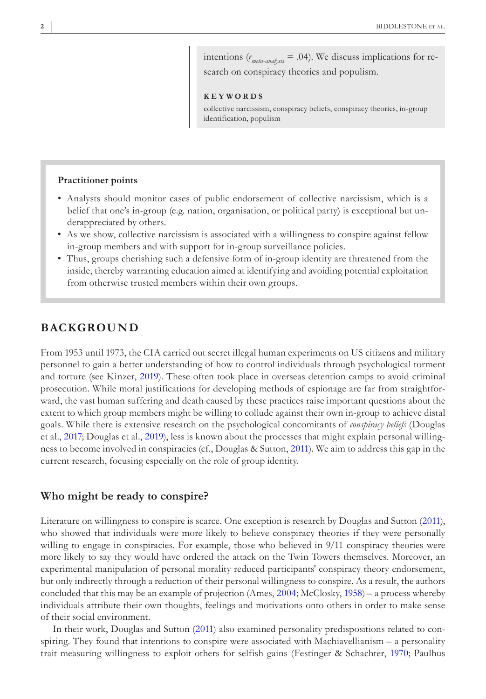intentions (*r meta-analysis* = .04). We discuss implications for research on conspiracy theories and populism.

#### **KEYWORDS**

collective narcissism, conspiracy beliefs, conspiracy theories, in-group identification, populism

#### **Practitioner points**

- Analysts should monitor cases of public endorsement of collective narcissism, which is a belief that one's in-group (e.g. nation, organisation, or political party) is exceptional but underappreciated by others.
- As we show, collective narcissism is associated with a willingness to conspire against fellow in-group members and with support for in-group surveillance policies.
- Thus, groups cherishing such a defensive form of in-group identity are threatened from the inside, thereby warranting education aimed at identifying and avoiding potential exploitation from otherwise trusted members within their own groups.

## **BACKGROUND**

From 1953 until 1973, the CIA carried out secret illegal human experiments on US citizens and military personnel to gain a better understanding of how to control individuals through psychological torment and torture (see Kinzer, [2019\)](#page-21-0). These often took place in overseas detention camps to avoid criminal prosecution. While moral justifications for developing methods of espionage are far from straightforward, the vast human suffering and death caused by these practices raise important questions about the extent to which group members might be willing to collude against their own in-group to achieve distal goals. While there is extensive research on the psychological concomitants of *conspiracy beliefs* (Douglas et al., [2017;](#page-20-0) Douglas et al., [2019\)](#page-20-1), less is known about the processes that might explain personal willingness to become involved in conspiracies (cf., Douglas & Sutton, [2011\)](#page-20-2). We aim to address this gap in the current research, focusing especially on the role of group identity.

#### **Who might be ready to conspire?**

Literature on willingness to conspire is scarce. One exception is research by Douglas and Sutton [\(2011](#page-20-2)), who showed that individuals were more likely to believe conspiracy theories if they were personally willing to engage in conspiracies. For example, those who believed in  $9/11$  conspiracy theories were more likely to say they would have ordered the attack on the Twin Towers themselves. Moreover, an experimental manipulation of personal morality reduced participants' conspiracy theory endorsement, but only indirectly through a reduction of their personal willingness to conspire. As a result, the authors concluded that this may be an example of projection (Ames, [2004;](#page-18-0) McClosky, [1958](#page-21-1)) – a process whereby individuals attribute their own thoughts, feelings and motivations onto others in order to make sense of their social environment.

In their work, Douglas and Sutton ([2011\)](#page-20-2) also examined personality predispositions related to conspiring. They found that intentions to conspire were associated with Machiavellianism – a personality trait measuring willingness to exploit others for selfish gains (Festinger & Schachter, [1970](#page-20-3); Paulhus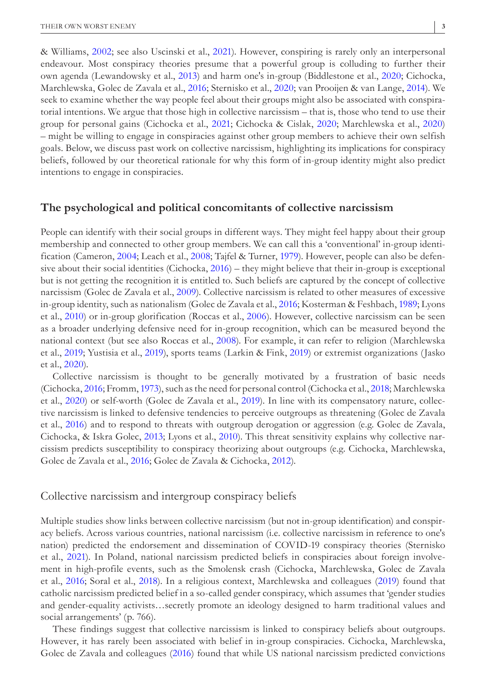& Williams, [2002](#page-21-2); see also Uscinski et al., [2021\)](#page-22-0). However, conspiring is rarely only an interpersonal endeavour. Most conspiracy theories presume that a powerful group is colluding to further their own agenda (Lewandowsky et al., [2013\)](#page-21-3) and harm one's in-group (Biddlestone et al., [2020](#page-19-0); Cichocka, Marchlewska, Golec de Zavala et al., [2016;](#page-19-1) Sternisko et al., [2020;](#page-22-1) van Prooijen & van Lange, [2014](#page-22-2)). We seek to examine whether the way people feel about their groups might also be associated with conspiratorial intentions. We argue that those high in collective narcissism – that is, those who tend to use their group for personal gains (Cichocka et al., [2021;](#page-19-2) Cichocka & Cislak, [2020;](#page-19-3) Marchlewska et al., [2020](#page-21-4)) – might be willing to engage in conspiracies against other group members to achieve their own selfish goals. Below, we discuss past work on collective narcissism, highlighting its implications for conspiracy beliefs, followed by our theoretical rationale for why this form of in-group identity might also predict intentions to engage in conspiracies.

#### **The psychological and political concomitants of collective narcissism**

People can identify with their social groups in different ways. They might feel happy about their group membership and connected to other group members. We can call this a 'conventional' in-group identification (Cameron, [2004](#page-19-4); Leach et al., [2008;](#page-21-5) Tajfel & Turner, [1979\)](#page-22-3). However, people can also be defensive about their social identities (Cichocka, [2016\)](#page-19-5) – they might believe that their in-group is exceptional but is not getting the recognition it is entitled to. Such beliefs are captured by the concept of collective narcissism (Golec de Zavala et al., [2009\)](#page-20-4). Collective narcissism is related to other measures of excessive in-group identity, such as nationalism (Golec de Zavala et al., [2016;](#page-20-5) Kosterman & Feshbach, [1989](#page-21-6); Lyons et al., [2010](#page-21-7)) or in-group glorification (Roccas et al., [2006](#page-21-8)). However, collective narcissism can be seen as a broader underlying defensive need for in-group recognition, which can be measured beyond the national context (but see also Roccas et al., [2008](#page-21-9)). For example, it can refer to religion (Marchlewska et al., [2019;](#page-21-10) Yustisia et al., [2019\)](#page-22-4), sports teams (Larkin & Fink, [2019\)](#page-21-11) or extremist organizations (Jasko et al., [2020](#page-20-6)).

Collective narcissism is thought to be generally motivated by a frustration of basic needs (Cichocka, [2016](#page-19-5); Fromm, [1973](#page-20-7)), such as the need for personal control (Cichocka et al., [2018](#page-19-6); Marchlewska et al., [2020](#page-21-4)) or self-worth (Golec de Zavala et al., [2019](#page-20-8)). In line with its compensatory nature, collective narcissism is linked to defensive tendencies to perceive outgroups as threatening (Golec de Zavala et al., [2016](#page-20-5)) and to respond to threats with outgroup derogation or aggression (e.g. Golec de Zavala, Cichocka, & Iskra Golec, [2013;](#page-20-9) Lyons et al., [2010](#page-21-7)). This threat sensitivity explains why collective narcissism predicts susceptibility to conspiracy theorizing about outgroups (e.g. Cichocka, Marchlewska, Golec de Zavala et al., [2016;](#page-19-1) Golec de Zavala & Cichocka, [2012](#page-20-10)).

## Collective narcissism and intergroup conspiracy beliefs

Multiple studies show links between collective narcissism (but not in-group identification) and conspiracy beliefs. Across various countries, national narcissism (i.e. collective narcissism in reference to one's nation) predicted the endorsement and dissemination of COVID-19 conspiracy theories (Sternisko et al., [2021](#page-22-5)). In Poland, national narcissism predicted beliefs in conspiracies about foreign involvement in high-profile events, such as the Smolensk crash (Cichocka, Marchlewska, Golec de Zavala et al., [2016](#page-19-1); Soral et al., [2018](#page-22-6)). In a religious context, Marchlewska and colleagues ([2019\)](#page-21-10) found that catholic narcissism predicted belief in a so-called gender conspiracy, which assumes that 'gender studies and gender-equality activists…secretly promote an ideology designed to harm traditional values and social arrangements' (p. 766).

These findings suggest that collective narcissism is linked to conspiracy beliefs about outgroups. However, it has rarely been associated with belief in in-group conspiracies. Cichocka, Marchlewska, Golec de Zavala and colleagues [\(2016\)](#page-19-1) found that while US national narcissism predicted convictions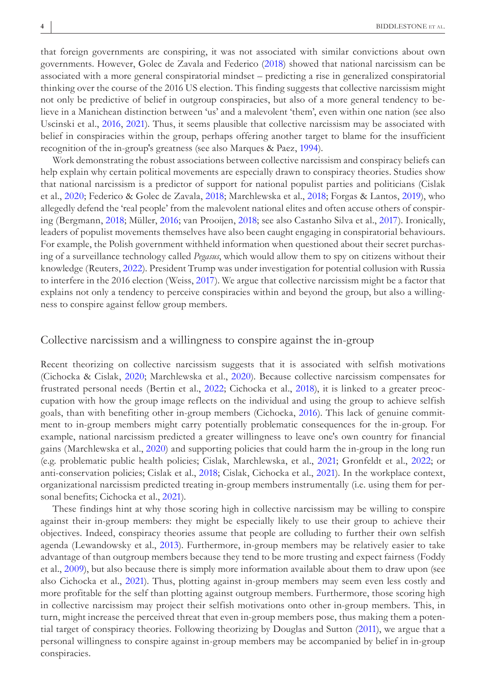that foreign governments are conspiring, it was not associated with similar convictions about own governments. However, Golec de Zavala and Federico ([2018](#page-20-11)) showed that national narcissism can be associated with a more general conspiratorial mindset – predicting a rise in generalized conspiratorial thinking over the course of the 2016 US election. This finding suggests that collective narcissism might not only be predictive of belief in outgroup conspiracies, but also of a more general tendency to believe in a Manichean distinction between 'us' and a malevolent 'them', even within one nation (see also Uscinski et al., [2016,](#page-22-7) [2021](#page-22-0)). Thus, it seems plausible that collective narcissism may be associated with belief in conspiracies within the group, perhaps offering another target to blame for the insufficient recognition of the in-group's greatness (see also Marques & Paez, [1994](#page-21-12)).

Work demonstrating the robust associations between collective narcissism and conspiracy beliefs can help explain why certain political movements are especially drawn to conspiracy theories. Studies show that national narcissism is a predictor of support for national populist parties and politicians (Cislak et al., [2020;](#page-19-7) Federico & Golec de Zavala, [2018](#page-20-12); Marchlewska et al., [2018](#page-21-13); Forgas & Lantos, [2019\)](#page-20-13), who allegedly defend the 'real people' from the malevolent national elites and often accuse others of conspiring (Bergmann, [2018;](#page-18-1) Müller, [2016](#page-21-14); van Prooijen, [2018](#page-22-8); see also Castanho Silva et al., [2017](#page-19-8)). Ironically, leaders of populist movements themselves have also been caught engaging in conspiratorial behaviours. For example, the Polish government withheld information when questioned about their secret purchasing of a surveillance technology called *Pegasus*, which would allow them to spy on citizens without their knowledge (Reuters, [2022\)](#page-21-15). President Trump was under investigation for potential collusion with Russia to interfere in the 2016 election (Weiss, [2017](#page-22-9)). We argue that collective narcissism might be a factor that explains not only a tendency to perceive conspiracies within and beyond the group, but also a willingness to conspire against fellow group members.

#### Collective narcissism and a willingness to conspire against the in-group

Recent theorizing on collective narcissism suggests that it is associated with selfish motivations (Cichocka & Cislak, [2020;](#page-19-3) Marchlewska et al., [2020](#page-21-4)). Because collective narcissism compensates for frustrated personal needs (Bertin et al., [2022](#page-19-9); Cichocka et al., [2018\)](#page-19-6), it is linked to a greater preoccupation with how the group image reflects on the individual and using the group to achieve selfish goals, than with benefiting other in-group members (Cichocka, [2016\)](#page-19-5). This lack of genuine commitment to in-group members might carry potentially problematic consequences for the in-group. For example, national narcissism predicted a greater willingness to leave one's own country for financial gains (Marchlewska et al., [2020](#page-21-4)) and supporting policies that could harm the in-group in the long run (e.g. problematic public health policies; Cislak, Marchlewska, et al., [2021](#page-19-10); Gronfeldt et al., [2022;](#page-20-14) or anti-conservation policies; Cislak et al., [2018](#page-19-11); Cislak, Cichocka et al., [2021](#page-19-12)). In the workplace context, organizational narcissism predicted treating in-group members instrumentally (i.e. using them for personal benefits; Cichocka et al., [2021\)](#page-19-2).

These findings hint at why those scoring high in collective narcissism may be willing to conspire against their in-group members: they might be especially likely to use their group to achieve their objectives. Indeed, conspiracy theories assume that people are colluding to further their own selfish agenda (Lewandowsky et al., [2013](#page-21-3)). Furthermore, in-group members may be relatively easier to take advantage of than outgroup members because they tend to be more trusting and expect fairness (Foddy et al., [2009\)](#page-20-15), but also because there is simply more information available about them to draw upon (see also Cichocka et al., [2021\)](#page-19-2). Thus, plotting against in-group members may seem even less costly and more profitable for the self than plotting against outgroup members. Furthermore, those scoring high in collective narcissism may project their selfish motivations onto other in-group members. This, in turn, might increase the perceived threat that even in-group members pose, thus making them a potential target of conspiracy theories. Following theorizing by Douglas and Sutton ([2011](#page-20-2)), we argue that a personal willingness to conspire against in-group members may be accompanied by belief in in-group conspiracies.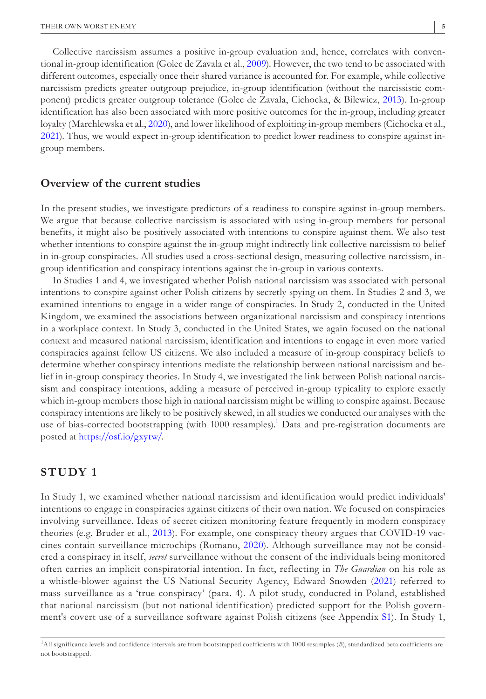Collective narcissism assumes a positive in-group evaluation and, hence, correlates with conventional in-group identification (Golec de Zavala et al., [2009\)](#page-20-4). However, the two tend to be associated with different outcomes, especially once their shared variance is accounted for. For example, while collective narcissism predicts greater outgroup prejudice, in-group identification (without the narcissistic component) predicts greater outgroup tolerance (Golec de Zavala, Cichocka, & Bilewicz, [2013\)](#page-20-16). In-group identification has also been associated with more positive outcomes for the in-group, including greater loyalty (Marchlewska et al., [2020](#page-21-4)), and lower likelihood of exploiting in-group members (Cichocka et al., [2021](#page-19-2)). Thus, we would expect in-group identification to predict lower readiness to conspire against ingroup members.

#### **Overview of the current studies**

In the present studies, we investigate predictors of a readiness to conspire against in-group members. We argue that because collective narcissism is associated with using in-group members for personal benefits, it might also be positively associated with intentions to conspire against them. We also test whether intentions to conspire against the in-group might indirectly link collective narcissism to belief in in-group conspiracies. All studies used a cross-sectional design, measuring collective narcissism, ingroup identification and conspiracy intentions against the in-group in various contexts.

In Studies 1 and 4, we investigated whether Polish national narcissism was associated with personal intentions to conspire against other Polish citizens by secretly spying on them. In Studies 2 and 3, we examined intentions to engage in a wider range of conspiracies. In Study 2, conducted in the United Kingdom, we examined the associations between organizational narcissism and conspiracy intentions in a workplace context. In Study 3, conducted in the United States, we again focused on the national context and measured national narcissism, identification and intentions to engage in even more varied conspiracies against fellow US citizens. We also included a measure of in-group conspiracy beliefs to determine whether conspiracy intentions mediate the relationship between national narcissism and belief in in-group conspiracy theories. In Study 4, we investigated the link between Polish national narcissism and conspiracy intentions, adding a measure of perceived in-group typicality to explore exactly which in-group members those high in national narcissism might be willing to conspire against. Because conspiracy intentions are likely to be positively skewed, in all studies we conducted our analyses with the use of bias-corrected bootstrapping (with 1000 resamples).<sup>1</sup> Data and pre-registration documents are posted at [https://osf.io/gxytw/.](https://osf.io/gxytw/)

## **STUDY 1**

In Study 1, we examined whether national narcissism and identification would predict individuals' intentions to engage in conspiracies against citizens of their own nation. We focused on conspiracies involving surveillance. Ideas of secret citizen monitoring feature frequently in modern conspiracy theories (e.g. Bruder et al., [2013\)](#page-19-13). For example, one conspiracy theory argues that COVID-19 vaccines contain surveillance microchips (Romano, [2020\)](#page-21-16). Although surveillance may not be considered a conspiracy in itself, *secret* surveillance without the consent of the individuals being monitored often carries an implicit conspiratorial intention. In fact, reflecting in *The Guardian* on his role as a whistle-blower against the US National Security Agency, Edward Snowden ([2021](#page-22-10)) referred to mass surveillance as a 'true conspiracy' (para. 4). A pilot study, conducted in Poland, established that national narcissism (but not national identification) predicted support for the Polish government's covert use of a surveillance software against Polish citizens (see Appendix [S1](#page-22-11)). In Study 1,

<span id="page-4-0"></span><sup>&</sup>lt;sup>1</sup>All significance levels and confidence intervals are from bootstrapped coefficients with 1000 resamples (B), standardized beta coefficients are not bootstrapped.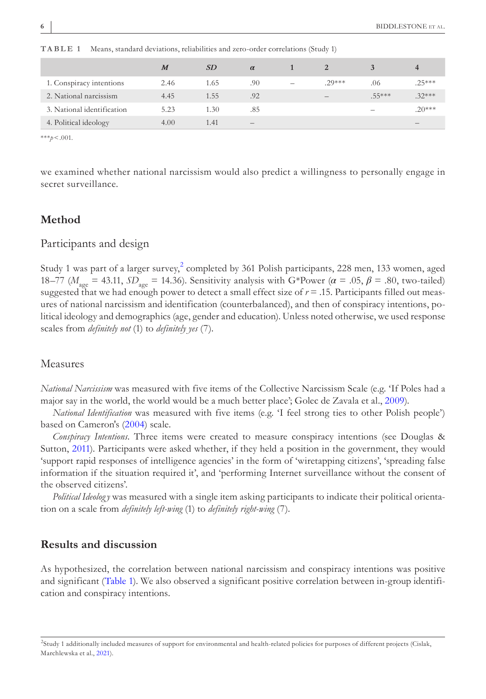|                            | $\boldsymbol{M}$ | <i>SD</i> | $\alpha$                 |                          |          |          | 4                        |
|----------------------------|------------------|-----------|--------------------------|--------------------------|----------|----------|--------------------------|
| 1. Conspiracy intentions   | 2.46             | 1.65      | .90                      | $\overline{\phantom{a}}$ | $.29***$ | .06      | $.25***$                 |
| 2. National narcissism     | 4.45             | 1.55      | .92                      |                          | $-$      | $.55***$ | $.32***$                 |
| 3. National identification | 5.23             | 1.30      | .85                      |                          |          |          | $.20***$                 |
| 4. Political ideology      | 4.00             | 1.41      | $\overline{\phantom{a}}$ |                          |          |          | $\overline{\phantom{a}}$ |

<span id="page-5-1"></span>**TABLE 1** Means, standard deviations, reliabilities and zero-order correlations (Study 1)

\*\*\**p*<.001.

we examined whether national narcissism would also predict a willingness to personally engage in secret surveillance.

## **Method**

## Participants and design

Study 1 was part of a larger survey, $^2$  $^2$  completed by 361 Polish participants, 228 men, 133 women, aged 18–77 ( $M_{\text{age}} = 43.11$ ,  $SD_{\text{age}} = 14.36$ ). Sensitivity analysis with G\*Power ( $\alpha = .05$ ,  $\beta = .80$ , two-tailed) suggested that we had enough power to detect a small effect size of  $r = .15$ . Participants filled out measures of national narcissism and identification (counterbalanced), and then of conspiracy intentions, political ideology and demographics (age, gender and education). Unless noted otherwise, we used response scales from *definitely not* (1) to *definitely yes* (7).

#### Measures

*National Narcissism* was measured with five items of the Collective Narcissism Scale (e.g. 'If Poles had a major say in the world, the world would be a much better place'; Golec de Zavala et al., [2009](#page-20-4)).

*National Identification* was measured with five items (e.g. 'I feel strong ties to other Polish people') based on Cameron's ([2004](#page-19-4)) scale.

*Conspiracy Intentions*. Three items were created to measure conspiracy intentions (see Douglas & Sutton, [2011\)](#page-20-2). Participants were asked whether, if they held a position in the government, they would 'support rapid responses of intelligence agencies' in the form of 'wiretapping citizens', 'spreading false information if the situation required it', and 'performing Internet surveillance without the consent of the observed citizens'.

*Political Ideolog y* was measured with a single item asking participants to indicate their political orientation on a scale from *definitely left-wing* (1) to *definitely right-wing* (7).

## **Results and discussion**

As hypothesized, the correlation between national narcissism and conspiracy intentions was positive and significant (Table [1\)](#page-5-1). We also observed a significant positive correlation between in-group identification and conspiracy intentions.

<span id="page-5-0"></span><sup>2</sup> Study 1 additionally included measures of support for environmental and health-related policies for purposes of different projects (Cislak, Marchlewska et al., [2021\)](#page-19-10).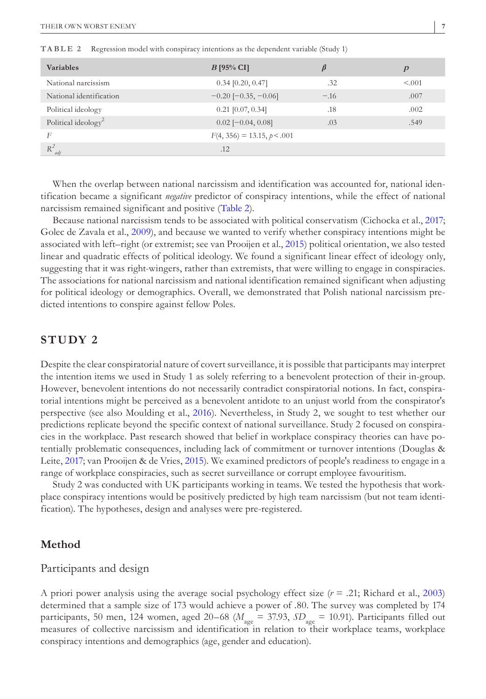| <b>Variables</b>                | $B$ [95% CI]                  |        | $\boldsymbol{p}$ |
|---------------------------------|-------------------------------|--------|------------------|
| National narcissism             | $0.34$ [0.20, 0.47]           | .32    | < 0.001          |
| National identification         | $-0.20$ [ $-0.35$ , $-0.06$ ] | $-.16$ | .007             |
| Political ideology              | $0.21$ [0.07, 0.34]           | .18    | .002             |
| Political ideology <sup>2</sup> | $0.02$ [ $-0.04$ , $0.08$ ]   | .03    | .549             |
| F                               | $F(4, 356) = 13.15, p < .001$ |        |                  |
| $R^2$<br>adj                    | .12                           |        |                  |

<span id="page-6-0"></span>**TABLE 2** Regression model with conspiracy intentions as the dependent variable (Study 1)

When the overlap between national narcissism and identification was accounted for, national identification became a significant *negative* predictor of conspiracy intentions, while the effect of national narcissism remained significant and positive (Table [2\)](#page-6-0).

Because national narcissism tends to be associated with political conservatism (Cichocka et al., [2017](#page-19-14); Golec de Zavala et al., [2009](#page-20-4)), and because we wanted to verify whether conspiracy intentions might be associated with left–right (or extremist; see van Prooijen et al., [2015](#page-22-12)) political orientation, we also tested linear and quadratic effects of political ideology. We found a significant linear effect of ideology only, suggesting that it was right-wingers, rather than extremists, that were willing to engage in conspiracies. The associations for national narcissism and national identification remained significant when adjusting for political ideology or demographics. Overall, we demonstrated that Polish national narcissism predicted intentions to conspire against fellow Poles.

## **STUDY 2**

Despite the clear conspiratorial nature of covert surveillance, it is possible that participants may interpret the intention items we used in Study 1 as solely referring to a benevolent protection of their in-group. However, benevolent intentions do not necessarily contradict conspiratorial notions. In fact, conspiratorial intentions might be perceived as a benevolent antidote to an unjust world from the conspirator's perspective (see also Moulding et al., [2016](#page-21-17)). Nevertheless, in Study 2, we sought to test whether our predictions replicate beyond the specific context of national surveillance. Study 2 focused on conspiracies in the workplace. Past research showed that belief in workplace conspiracy theories can have potentially problematic consequences, including lack of commitment or turnover intentions (Douglas & Leite, [2017;](#page-20-17) van Prooijen & de Vries, [2015](#page-22-13)). We examined predictors of people's readiness to engage in a range of workplace conspiracies, such as secret surveillance or corrupt employee favouritism.

Study 2 was conducted with UK participants working in teams. We tested the hypothesis that workplace conspiracy intentions would be positively predicted by high team narcissism (but not team identification). The hypotheses, design and analyses were pre-registered.

## **Method**

## Participants and design

A priori power analysis using the average social psychology effect size (*r* = .21; Richard et al., [2003](#page-21-18)) determined that a sample size of 173 would achieve a power of .80. The survey was completed by 174 participants, 50 men, 124 women, aged 20–68 (*M* age = 37.93, *SD* age = 10.91). Participants filled out measures of collective narcissism and identification in relation to their workplace teams, workplace conspiracy intentions and demographics (age, gender and education).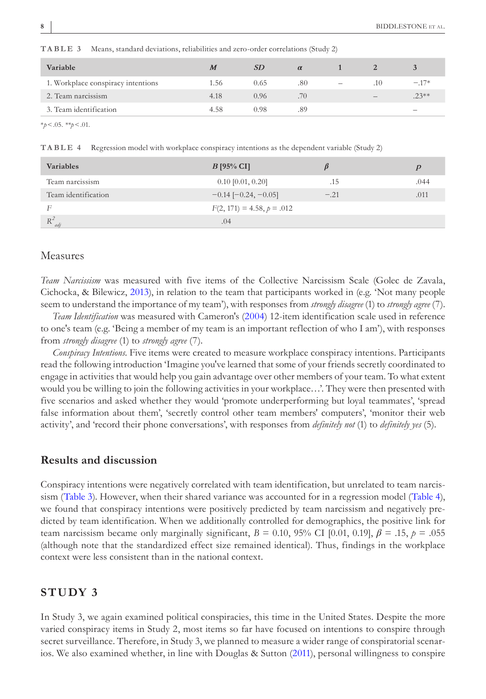| 1. Workplace conspiracy intentions<br>.80<br>$-.17*$<br>0.65<br>1.56<br>.10<br>$\qquad \qquad -$ |  |
|--------------------------------------------------------------------------------------------------|--|
| 2. Team narcissism<br>.70<br>$.23***$<br>4.18<br>0.96                                            |  |
| 3. Team identification<br>0.98<br>.89<br>4.58<br>$\overline{\phantom{a}}$                        |  |

<span id="page-7-0"></span>**TABLE 3** Means, standard deviations, reliabilities and zero-order correlations (Study 2)

\**p*<.05. *\*\*p*<.01.

<span id="page-7-1"></span>**TABLE 4** Regression model with workplace conspiracy intentions as the dependent variable (Study 2)

| <b>Variables</b>    | $B$ [95% CI]                  |        |      |
|---------------------|-------------------------------|--------|------|
| Team narcissism     | $0.10$ [0.01, 0.20]           | .15    | .044 |
| Team identification | $-0.14$ [ $-0.24$ , $-0.05$ ] | $-.21$ | .011 |
| F                   | $F(2, 171) = 4.58, p = .012$  |        |      |
| $R^2$<br>adi        | .04                           |        |      |

#### Measures

*Team Narcissism* was measured with five items of the Collective Narcissism Scale (Golec de Zavala, Cichocka, & Bilewicz, [2013](#page-20-16)), in relation to the team that participants worked in (e.g. 'Not many people seem to understand the importance of my team'), with responses from *strongly disagree* (1) to *strongly agree* (7).

*Team Identification* was measured with Cameron's [\(2004\)](#page-19-4) 12-item identification scale used in reference to one's team (e.g. 'Being a member of my team is an important reflection of who I am'), with responses from *strongly disagree* (1) to *strongly agree* (7).

*Conspiracy Intentions*. Five items were created to measure workplace conspiracy intentions. Participants read the following introduction 'Imagine you've learned that some of your friends secretly coordinated to engage in activities that would help you gain advantage over other members of your team. To what extent would you be willing to join the following activities in your workplace…'. They were then presented with five scenarios and asked whether they would 'promote underperforming but loyal teammates', 'spread false information about them', 'secretly control other team members' computers', 'monitor their web activity', and 'record their phone conversations', with responses from *definitely not* (1) to *definitely yes* (5).

#### **Results and discussion**

Conspiracy intentions were negatively correlated with team identification, but unrelated to team narcissism (Table [3](#page-7-0)). However, when their shared variance was accounted for in a regression model (Table [4](#page-7-1)), we found that conspiracy intentions were positively predicted by team narcissism and negatively predicted by team identification. When we additionally controlled for demographics, the positive link for team narcissism became only marginally significant,  $B = 0.10$ ,  $95\%$  CI [0.01, 0.19],  $\beta = .15$ ,  $p = .055$ (although note that the standardized effect size remained identical). Thus, findings in the workplace context were less consistent than in the national context.

## **STUDY 3**

In Study 3, we again examined political conspiracies, this time in the United States. Despite the more varied conspiracy items in Study 2, most items so far have focused on intentions to conspire through secret surveillance. Therefore, in Study 3, we planned to measure a wider range of conspiratorial scenarios. We also examined whether, in line with Douglas & Sutton ([2011\)](#page-20-2), personal willingness to conspire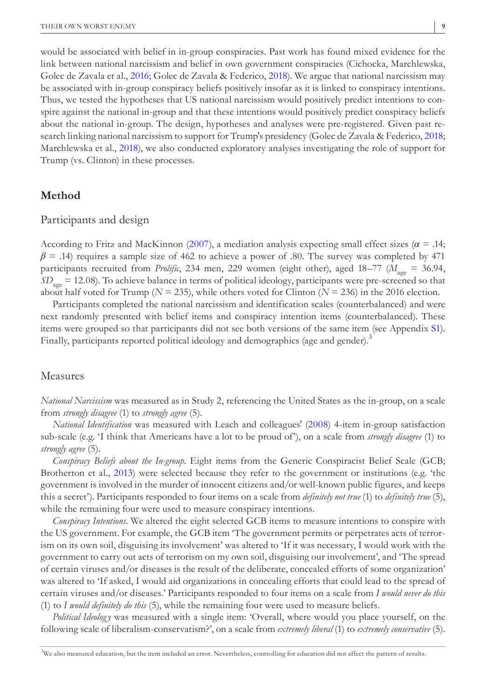would be associated with belief in in-group conspiracies. Past work has found mixed evidence for the link between national narcissism and belief in own government conspiracies (Cichocka, Marchlewska, Golec de Zavala et al., [2016;](#page-19-1) Golec de Zavala & Federico, [2018\)](#page-20-11). We argue that national narcissism may be associated with in-group conspiracy beliefs positively insofar as it is linked to conspiracy intentions. Thus, we tested the hypotheses that US national narcissism would positively predict intentions to conspire against the national in-group and that these intentions would positively predict conspiracy beliefs about the national in-group. The design, hypotheses and analyses were pre-registered. Given past research linking national narcissism to support for Trump's presidency (Golec de Zavala & Federico, [2018](#page-20-11); Marchlewska et al., [2018\)](#page-21-13), we also conducted exploratory analyses investigating the role of support for Trump (vs. Clinton) in these processes.

## **Method**

#### Participants and design

According to Fritz and MacKinnon ([2007\)](#page-20-18), a mediation analysis expecting small effect sizes ( $\alpha$  = .14;  $\beta$  = .14) requires a sample size of 462 to achieve a power of .80. The survey was completed by 471 participants recruited from *Prolific*, 234 men, 229 women (eight other), aged 18–77 (*M* age = 36.94, *SD* age = 12.08). To achieve balance in terms of political ideology, participants were pre-screened so that about half voted for Trump ( $N = 235$ ), while others voted for Clinton ( $N = 236$ ) in the 2016 election.

Participants completed the national narcissism and identification scales (counterbalanced) and were next randomly presented with belief items and conspiracy intention items (counterbalanced). These items were grouped so that participants did not see both versions of the same item (see Appendix [S1](#page-22-11)). Finally, participants reported political ideology and demographics (age and gender).<sup>[3](#page-8-0)</sup>

#### Measures

*National Narcissism* was measured as in Study 2, referencing the United States as the in-group, on a scale from *strongly disagree* (1) to *strongly agree* (5).

*National Identification* was measured with Leach and colleagues' ([2008](#page-21-5)) 4-item in-group satisfaction sub-scale (e.g. 'I think that Americans have a lot to be proud of'), on a scale from *strongly disagree* (1) to *strongly agree* (5).

*Conspiracy Beliefs about the In-group*. Eight items from the Generic Conspiracist Belief Scale (GCB; Brotherton et al., [2013](#page-19-15)) were selected because they refer to the government or institutions (e.g. 'the government is involved in the murder of innocent citizens and/or well-known public figures, and keeps this a secret'). Participants responded to four items on a scale from *definitely not true* (1) to *definitely true* (5), while the remaining four were used to measure conspiracy intentions.

*Conspiracy Intentions*. We altered the eight selected GCB items to measure intentions to conspire with the US government. For example, the GCB item 'The government permits or perpetrates acts of terrorism on its own soil, disguising its involvement' was altered to 'If it was necessary, I would work with the government to carry out acts of terrorism on my own soil, disguising our involvement', and 'The spread of certain viruses and/or diseases is the result of the deliberate, concealed efforts of some organization' was altered to 'If asked, I would aid organizations in concealing efforts that could lead to the spread of certain viruses and/or diseases.' Participants responded to four items on a scale from *I would never do this* (1) to *I would definitely do this* (5), while the remaining four were used to measure beliefs.

*Political Ideology* was measured with a single item: 'Overall, where would you place yourself, on the following scale of liberalism-conservatism?', on a scale from *extremely liberal* (1) to *extremely conservative* (5).

<span id="page-8-0"></span><sup>&</sup>lt;sup>3</sup>We also measured education, but the item included an error. Nevertheless, controlling for education did not affect the pattern of results.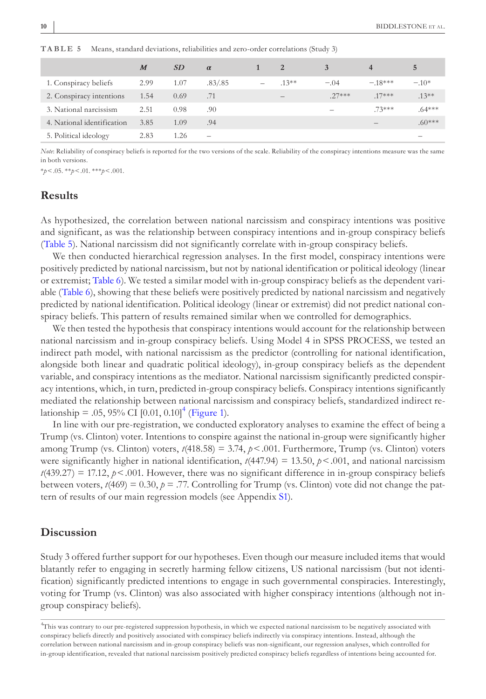|                            | $\boldsymbol{M}$ | SD   | $\alpha$                 | 2        |         | $\overline{\mathbf{4}}$ | 5        |
|----------------------------|------------------|------|--------------------------|----------|---------|-------------------------|----------|
| 1. Conspiracy beliefs      | 2.99             | 1.07 | .83/.85                  | $.13***$ | $-.04$  | $-18***$                | $-.10*$  |
| 2. Conspiracy intentions   | 1.54             | 0.69 | .71                      | –        | $27***$ | $.17***$                | $.13***$ |
| 3. National narcissism     | 2.51             | 0.98 | .90                      |          | -       | $73***$                 | $.64***$ |
| 4. National identification | 3.85             | 1.09 | .94                      |          |         |                         | $.60***$ |
| 5. Political ideology      | 2.83             | 1.26 | $\overline{\phantom{0}}$ |          |         |                         |          |

<span id="page-9-0"></span>**TABLE 5** Means, standard deviations, reliabilities and zero-order correlations (Study 3)

*Note*: Reliability of conspiracy beliefs is reported for the two versions of the scale. Reliability of the conspiracy intentions measure was the same in both versions.

\**p*<.05. \*\**p*<.01. \*\*\**p*<.001.

## **Results**

As hypothesized, the correlation between national narcissism and conspiracy intentions was positive and significant, as was the relationship between conspiracy intentions and in-group conspiracy beliefs (Table [5](#page-9-0)). National narcissism did not significantly correlate with in-group conspiracy beliefs.

We then conducted hierarchical regression analyses. In the first model, conspiracy intentions were positively predicted by national narcissism, but not by national identification or political ideology (linear or extremist; Table [6\)](#page-10-0). We tested a similar model with in-group conspiracy beliefs as the dependent variable (Table [6](#page-10-0)), showing that these beliefs were positively predicted by national narcissism and negatively predicted by national identification. Political ideology (linear or extremist) did not predict national conspiracy beliefs. This pattern of results remained similar when we controlled for demographics.

We then tested the hypothesis that conspiracy intentions would account for the relationship between national narcissism and in-group conspiracy beliefs. Using Model 4 in SPSS PROCESS, we tested an indirect path model, with national narcissism as the predictor (controlling for national identification, alongside both linear and quadratic political ideology), in-group conspiracy beliefs as the dependent variable, and conspiracy intentions as the mediator. National narcissism significantly predicted conspiracy intentions, which, in turn, predicted in-group conspiracy beliefs. Conspiracy intentions significantly mediated the relationship between national narcissism and conspiracy beliefs, standardized indirect relationship = .05, 95% CI  $[0.01, 0.10]$ <sup>[4](#page-9-1)</sup> (Figure [1\)](#page-10-1).

In line with our pre-registration, we conducted exploratory analyses to examine the effect of being a Trump (vs. Clinton) voter. Intentions to conspire against the national in-group were significantly higher among Trump (vs. Clinton) voters,  $t(418.58) = 3.74$ ,  $p < .001$ . Furthermore, Trump (vs. Clinton) voters were significantly higher in national identification,  $t(447.94) = 13.50$ ,  $p < .001$ , and national narcissism  $t(439.27) = 17.12$ ,  $p < .001$ . However, there was no significant difference in in-group conspiracy beliefs between voters,  $t(469) = 0.30$ ,  $p = .77$ . Controlling for Trump (vs. Clinton) vote did not change the pattern of results of our main regression models (see Appendix [S1](#page-22-11)).

### **Discussion**

Study 3 offered further support for our hypotheses. Even though our measure included items that would blatantly refer to engaging in secretly harming fellow citizens, US national narcissism (but not identification) significantly predicted intentions to engage in such governmental conspiracies. Interestingly, voting for Trump (vs. Clinton) was also associated with higher conspiracy intentions (although not ingroup conspiracy beliefs).

<span id="page-9-1"></span><sup>4</sup> This was contrary to our pre-registered suppression hypothesis, in which we expected national narcissism to be negatively associated with conspiracy beliefs directly and positively associated with conspiracy beliefs indirectly via conspiracy intentions. Instead, although the correlation between national narcissism and in-group conspiracy beliefs was non-significant, our regression analyses, which controlled for in-group identification, revealed that national narcissism positively predicted conspiracy beliefs regardless of intentions being accounted for.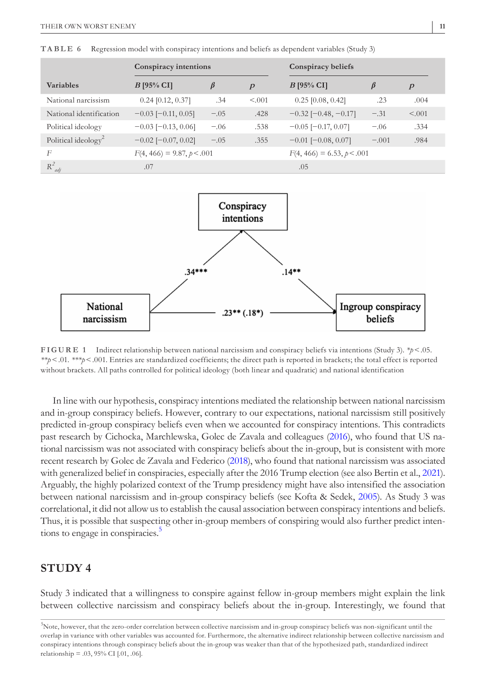|                                 | Conspiracy intentions        |        |                  | Conspiracy beliefs            |         |                  |  |
|---------------------------------|------------------------------|--------|------------------|-------------------------------|---------|------------------|--|
| <b>Variables</b>                | $B$ [95% CI]                 | ß      | $\boldsymbol{p}$ | $B$ [95% CI]                  | $\beta$ | $\boldsymbol{p}$ |  |
| National narcissism             | $0.24$ [0.12, 0.37]          | .34    | < 0.01           | $0.25$ [0.08, 0.42]           | .23     | .004             |  |
| National identification         | $-0.03$ [ $-0.11$ , 0.05]    | $-.05$ | .428             | $-0.32$ [ $-0.48$ , $-0.17$ ] | $-.31$  | < 0.01           |  |
| Political ideology              | $-0.03$ [ $-0.13$ , 0.06]    | $-.06$ | .538             | $-0.05$ [ $-0.17, 0.07$ ]     | $-.06$  | .334             |  |
| Political ideology <sup>2</sup> | $-0.02$ [ $-0.07, 0.02$ ]    | $-.05$ | .355             | $-0.01$ [ $-0.08$ , 0.07]     | $-.001$ | .984             |  |
| F                               | $F(4, 466) = 9.87, p < .001$ |        |                  | $F(4, 466) = 6.53, p < .001$  |         |                  |  |
| $R^2$<br>adj                    | .07                          |        |                  | .05                           |         |                  |  |

<span id="page-10-0"></span>**TABLE 6** Regression model with conspiracy intentions and beliefs as dependent variables (Study 3)



<span id="page-10-1"></span>**FIGURE 1** Indirect relationship between national narcissism and conspiracy beliefs via intentions (Study 3). *\*p*<.05. *\*\*p*<.01. *\*\*\*p*<.001. Entries are standardized coefficients; the direct path is reported in brackets; the total effect is reported without brackets. All paths controlled for political ideology (both linear and quadratic) and national identification

In line with our hypothesis, conspiracy intentions mediated the relationship between national narcissism and in-group conspiracy beliefs. However, contrary to our expectations, national narcissism still positively predicted in-group conspiracy beliefs even when we accounted for conspiracy intentions. This contradicts past research by Cichocka, Marchlewska, Golec de Zavala and colleagues ([2016\)](#page-19-1), who found that US national narcissism was not associated with conspiracy beliefs about the in-group, but is consistent with more recent research by Golec de Zavala and Federico [\(2018](#page-20-11)), who found that national narcissism was associated with generalized belief in conspiracies, especially after the 2016 Trump election (see also Bertin et al., [2021](#page-19-16)). Arguably, the highly polarized context of the Trump presidency might have also intensified the association between national narcissism and in-group conspiracy beliefs (see Kofta & Sedek, [2005](#page-21-19)). As Study 3 was correlational, it did not allow us to establish the causal association between conspiracy intentions and beliefs. Thus, it is possible that suspecting other in-group members of conspiring would also further predict intentions to engage in conspiracies.<sup>5</sup>

## **STUDY 4**

Study 3 indicated that a willingness to conspire against fellow in-group members might explain the link between collective narcissism and conspiracy beliefs about the in-group. Interestingly, we found that

<span id="page-10-2"></span><sup>5</sup> Note, however, that the zero-order correlation between collective narcissism and in-group conspiracy beliefs was non-significant until the overlap in variance with other variables was accounted for. Furthermore, the alternative indirect relationship between collective narcissism and conspiracy intentions through conspiracy beliefs about the in-group was weaker than that of the hypothesized path, standardized indirect relationship = .03, 95% CI [.01, .06].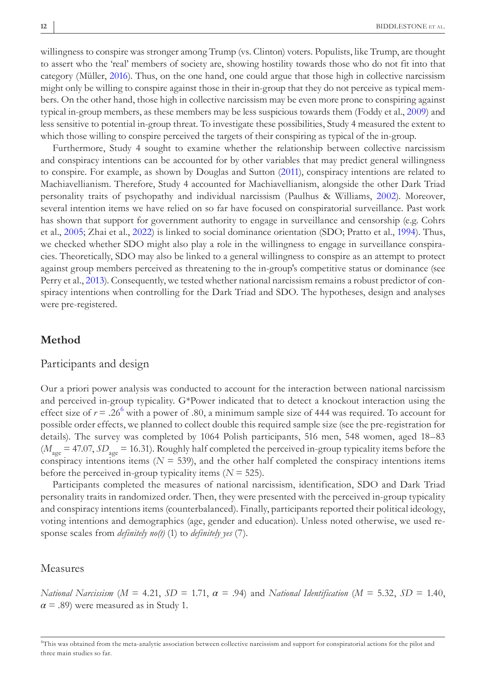willingness to conspire was stronger among Trump (vs. Clinton) voters. Populists, like Trump, are thought to assert who the 'real' members of society are, showing hostility towards those who do not fit into that category (Müller, [2016](#page-21-14)). Thus, on the one hand, one could argue that those high in collective narcissism might only be willing to conspire against those in their in-group that they do not perceive as typical members. On the other hand, those high in collective narcissism may be even more prone to conspiring against typical in-group members, as these members may be less suspicious towards them (Foddy et al., [2009\)](#page-20-15) and less sensitive to potential in-group threat. To investigate these possibilities, Study 4 measured the extent to which those willing to conspire perceived the targets of their conspiring as typical of the in-group.

Furthermore, Study 4 sought to examine whether the relationship between collective narcissism and conspiracy intentions can be accounted for by other variables that may predict general willingness to conspire. For example, as shown by Douglas and Sutton [\(2011](#page-20-2)), conspiracy intentions are related to Machiavellianism. Therefore, Study 4 accounted for Machiavellianism, alongside the other Dark Triad personality traits of psychopathy and individual narcissism (Paulhus & Williams, [2002\)](#page-21-2). Moreover, several intention items we have relied on so far have focused on conspiratorial surveillance. Past work has shown that support for government authority to engage in surveillance and censorship (e.g. Cohrs et al., [2005;](#page-19-17) Zhai et al., [2022](#page-22-14)) is linked to social dominance orientation (SDO; Pratto et al., [1994\)](#page-21-20). Thus, we checked whether SDO might also play a role in the willingness to engage in surveillance conspiracies. Theoretically, SDO may also be linked to a general willingness to conspire as an attempt to protect against group members perceived as threatening to the in-group's competitive status or dominance (see Perry et al., [2013\)](#page-21-21). Consequently, we tested whether national narcissism remains a robust predictor of conspiracy intentions when controlling for the Dark Triad and SDO. The hypotheses, design and analyses were pre-registered.

#### **Method**

#### Participants and design

Our a priori power analysis was conducted to account for the interaction between national narcissism and perceived in-group typicality. G\*Power indicated that to detect a knockout interaction using the effect size of  $r = .26^6$  $r = .26^6$  $r = .26^6$  with a power of .80, a minimum sample size of 444 was required. To account for possible order effects, we planned to collect double this required sample size (see the pre-registration for details). The survey was completed by 1064 Polish participants, 516 men, 548 women, aged 18–83 (*M* age = 47.07, *SD* age = 16.31). Roughly half completed the perceived in-group typicality items before the conspiracy intentions items  $(N = 539)$ , and the other half completed the conspiracy intentions items before the perceived in-group typicality items (*N* = 525).

Participants completed the measures of national narcissism, identification, SDO and Dark Triad personality traits in randomized order. Then, they were presented with the perceived in-group typicality and conspiracy intentions items (counterbalanced). Finally, participants reported their political ideology, voting intentions and demographics (age, gender and education). Unless noted otherwise, we used response scales from *definitely no(t)* (1) to *definitely yes* (7).

#### Measures

*National Narcissism* (*M* = 4.21, *SD* = 1.71, *α* = .94) and *National Identification* (*M* = 5.32, *SD* = 1.40,  $\alpha$  = .89) were measured as in Study 1.

<span id="page-11-0"></span><sup>6</sup> This was obtained from the meta-analytic association between collective narcissism and support for conspiratorial actions for the pilot and three main studies so far.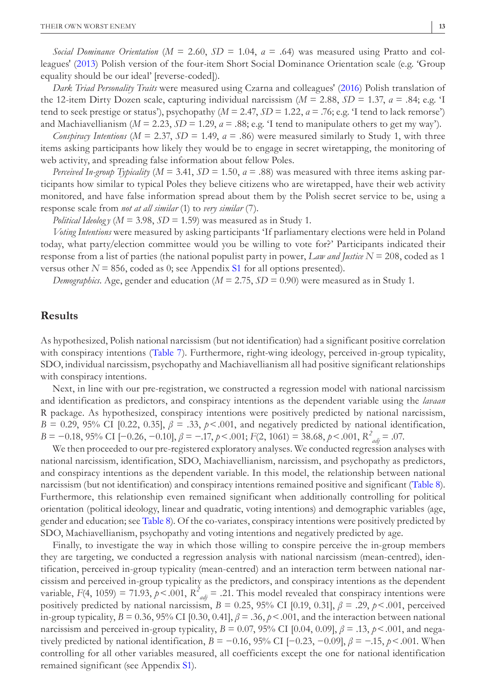*Social Dominance Orientation* (*M* = 2.60, *SD* = 1.04, *α* = .64) was measured using Pratto and colleagues' [\(2013](#page-21-22)) Polish version of the four-item Short Social Dominance Orientation scale (e.g. 'Group equality should be our ideal' [reverse-coded]).

*Dark Triad Personality Traits* were measured using Czarna and colleagues' ([2016\)](#page-20-19) Polish translation of the 12-item Dirty Dozen scale, capturing individual narcissism (*M* = 2.88, *SD* = 1.37, *α* = .84; e.g. 'I tend to seek prestige or status'), psychopathy ( $M = 2.47$ ,  $SD = 1.22$ ,  $a = .76$ ; e.g. 'I tend to lack remorse') and Machiavellianism ( $M = 2.23$ ,  $SD = 1.29$ ,  $a = .88$ ; e.g. 'I tend to manipulate others to get my way').

*Conspiracy Intentions* ( $M = 2.37$ ,  $SD = 1.49$ ,  $a = .86$ ) were measured similarly to Study 1, with three items asking participants how likely they would be to engage in secret wiretapping, the monitoring of web activity, and spreading false information about fellow Poles.

*Perceived In-group Typicality* (*M* = 3.41, *SD* = 1.50, *α* = .88) was measured with three items asking participants how similar to typical Poles they believe citizens who are wiretapped, have their web activity monitored, and have false information spread about them by the Polish secret service to be, using a response scale from *not at all similar* (1) to *very similar* (7).

*Political Ideology* ( $M = 3.98$ ,  $SD = 1.59$ ) was measured as in Study 1.

*Voting Intentions* were measured by asking participants 'If parliamentary elections were held in Poland today, what party/election committee would you be willing to vote for?' Participants indicated their response from a list of parties (the national populist party in power, *Law and Justice N* = 208, coded as 1 versus other  $N = 856$ , coded as 0; see Appendix [S1](#page-22-11) for all options presented).

*Demographics*. Age, gender and education ( $M = 2.75$ ,  $SD = 0.90$ ) were measured as in Study 1.

#### **Results**

As hypothesized, Polish national narcissism (but not identification) had a significant positive correlation with conspiracy intentions (Table [7\)](#page-13-0). Furthermore, right-wing ideology, perceived in-group typicality, SDO, individual narcissism, psychopathy and Machiavellianism all had positive significant relationships with conspiracy intentions.

Next, in line with our pre-registration, we constructed a regression model with national narcissism and identification as predictors, and conspiracy intentions as the dependent variable using the *lavaan* R package. As hypothesized, conspiracy intentions were positively predicted by national narcissism, *B* = 0.29, 95% CI [0.22, 0.35],  $\beta$  = .33,  $p$  < .001, and negatively predicted by national identification, *B* = −0.18, 95% CI [−0.26, −0.10], *β* = −.17, *p*<.001; *F*(2, 1061) = 38.68, *p*<.001, *R<sup>2</sup> adj* = .07.

We then proceeded to our pre-registered exploratory analyses. We conducted regression analyses with national narcissism, identification, SDO, Machiavellianism, narcissism, and psychopathy as predictors, and conspiracy intentions as the dependent variable. In this model, the relationship between national narcissism (but not identification) and conspiracy intentions remained positive and significant (Table [8](#page-13-1)). Furthermore, this relationship even remained significant when additionally controlling for political orientation (political ideology, linear and quadratic, voting intentions) and demographic variables (age, gender and education; see Table [8](#page-13-1)). Of the co-variates, conspiracy intentions were positively predicted by SDO, Machiavellianism, psychopathy and voting intentions and negatively predicted by age.

Finally, to investigate the way in which those willing to conspire perceive the in-group members they are targeting, we conducted a regression analysis with national narcissism (mean-centred), identification, perceived in-group typicality (mean-centred) and an interaction term between national narcissism and perceived in-group typicality as the predictors, and conspiracy intentions as the dependent variable,  $F(4, 1059) = 71.93$ ,  $p < .001$ ,  $R^2_{adj} = .21$ . This model revealed that conspiracy intentions were positively predicted by national narcissism,  $B = 0.25$ , 95% CI [0.19, 0.31],  $\beta = .29$ ,  $p < .001$ , perceived in-group typicality,  $B = 0.36$ , 95% CI [0.30, 0.41],  $\beta = .36$ ,  $\gamma$  < .001, and the interaction between national narcissism and perceived in-group typicality,  $B = 0.07$ , 95% CI [0.04, 0.09],  $\beta = .13$ ,  $p < .001$ , and negatively predicted by national identification,  $B = -0.16$ , 95% CI [−0.23, −0.09],  $\beta = -15$ ,  $p < .001$ . When controlling for all other variables measured, all coefficients except the one for national identification remained significant (see Appendix [S1](#page-22-11)).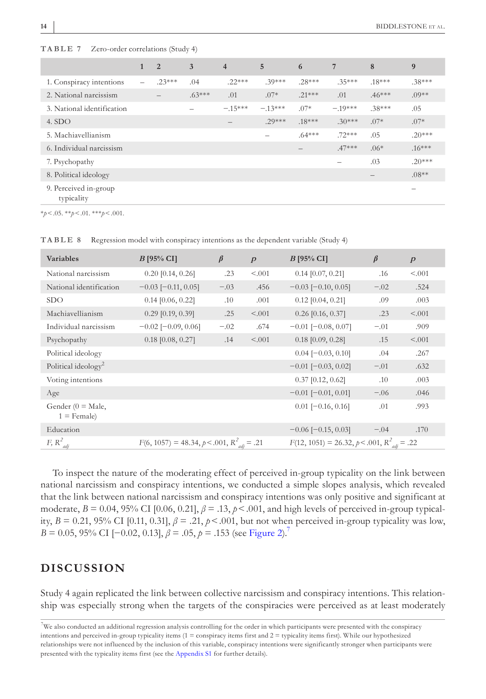|                                     | $\mathbf{1}$    | 2        | 3        | $\overline{4}$ | 5        | 6                 | 7         | 8        | 9        |
|-------------------------------------|-----------------|----------|----------|----------------|----------|-------------------|-----------|----------|----------|
| 1. Conspiracy intentions            | $\qquad \qquad$ | $.23***$ | .04      | $.22***$       | $.39***$ | $.28***$          | $.35***$  | $.18***$ | $.38***$ |
| 2. National narcissism              |                 |          | $.63***$ | .01            | $.07*$   | $.21***$          | .01       | $.46***$ | $.09**$  |
| 3. National identification          |                 |          |          | $-.15***$      | $-13***$ | $.07*$            | $-.19***$ | $.38***$ | .05      |
| 4. SDO                              |                 |          |          |                | $.29***$ | $.18***$          | $.30***$  | $.07*$   | $.07*$   |
| 5. Machiavellianism                 |                 |          |          |                |          | $.64***$          | $.72***$  | .05      | $.20***$ |
| 6. Individual narcissism            |                 |          |          |                |          | $\qquad \qquad -$ | $.47***$  | $.06*$   | $.16***$ |
| 7. Psychopathy                      |                 |          |          |                |          |                   |           | .03      | $.20***$ |
| 8. Political ideology               |                 |          |          |                |          |                   |           |          | $.08**$  |
| 9. Perceived in-group<br>typicality |                 |          |          |                |          |                   |           |          |          |

<span id="page-13-0"></span>**TABLE 7** Zero-order correlations (Study 4)

\**p*<.05. \*\**p*<.01. \*\*\**p*<.001.

| <b>Variables</b>                     | $B$ [95% CI]                                    | $\beta$ | $\boldsymbol{p}$ | $B$ [95% CI]                                     | $\beta$ | $\boldsymbol{p}$ |
|--------------------------------------|-------------------------------------------------|---------|------------------|--------------------------------------------------|---------|------------------|
| National narcissism                  | $0.20$ [0.14, 0.26]                             | .23     | < .001           | $0.14$ [0.07, 0.21]                              | .16     | < .001           |
| National identification              | $-0.03$ [ $-0.11$ , 0.05]                       | $-.03$  | .456             | $-0.03$ [ $-0.10$ , 0.05]                        | $-.02$  | .524             |
| <b>SDO</b>                           | $0.14$ [0.06, 0.22]                             | .10     | .001             | $0.12$ [0.04, 0.21]                              | .09     | .003             |
| Machiavellianism                     | $0.29$ [0.19, 0.39]                             | .25     | < 0.01           | $0.26$ [0.16, 0.37]                              | .23     | < 0.01           |
| Individual narcissism                | $-0.02$ [ $-0.09, 0.06$ ]                       | $-.02$  | .674             | $-0.01$ [ $-0.08$ , 0.07]                        | $-.01$  | .909             |
| Psychopathy                          | $0.18$ [0.08, 0.27]                             | .14     | < 0.001          | $0.18$ [0.09, 0.28]                              | .15     | < 0.01           |
| Political ideology                   |                                                 |         |                  | $0.04$ [ $-0.03$ , 0.10]                         | .04     | .267             |
| Political ideology <sup>2</sup>      |                                                 |         |                  | $-0.01$ [ $-0.03$ , 0.02]                        | $-.01$  | .632             |
| Voting intentions                    |                                                 |         |                  | $0.37$ [0.12, 0.62]                              | .10     | .003             |
| Age                                  |                                                 |         |                  | $-0.01$ [ $-0.01$ , 0.01]                        | $-.06$  | .046             |
| Gender $(0 = Male,$<br>$1 =$ Female) |                                                 |         |                  | $0.01$ [ $-0.16$ , 0.16]                         | .01     | .993             |
| Education                            |                                                 |         |                  | $-0.06$ [ $-0.15$ , 0.03]                        | $-.04$  | .170             |
| $F, R^2_{adj}$                       | $F(6, 1057) = 48.34, p < .001, R^2_{adi} = .21$ |         |                  | $F(12, 1051) = 26.32, p < .001, R^2_{adi} = .22$ |         |                  |

<span id="page-13-1"></span>**TABLE 8** Regression model with conspiracy intentions as the dependent variable (Study 4)

To inspect the nature of the moderating effect of perceived in-group typicality on the link between national narcissism and conspiracy intentions, we conducted a simple slopes analysis, which revealed that the link between national narcissism and conspiracy intentions was only positive and significant at moderate,  $B = 0.04$ , 95% CI [0.06, 0.21],  $\beta = .13$ ,  $p < .001$ , and high levels of perceived in-group typicality,  $B = 0.21$ , 95% CI [0.11, 0.31],  $\beta = .21$ ,  $\rho < .001$ , but not when perceived in-group typicality was low, *B* = 0.05, 95% CI [−0.0[2](#page-14-0), 0.13],  $\beta$  = .05,  $p$  = .153 (see Figure 2).<sup>7</sup>

## **DISCUSSION**

Study 4 again replicated the link between collective narcissism and conspiracy intentions. This relationship was especially strong when the targets of the conspiracies were perceived as at least moderately

<span id="page-13-2"></span><sup>7</sup> We also conducted an additional regression analysis controlling for the order in which participants were presented with the conspiracy intentions and perceived in-group typicality items  $(1 = \text{conspiracy items first and } 2 = \text{typically items first}).$  While our hypothesized relationships were not influenced by the inclusion of this variable, conspiracy intentions were significantly stronger when participants were presented with the typicality items first (see the [Appendix S1](#page-22-11) for further details).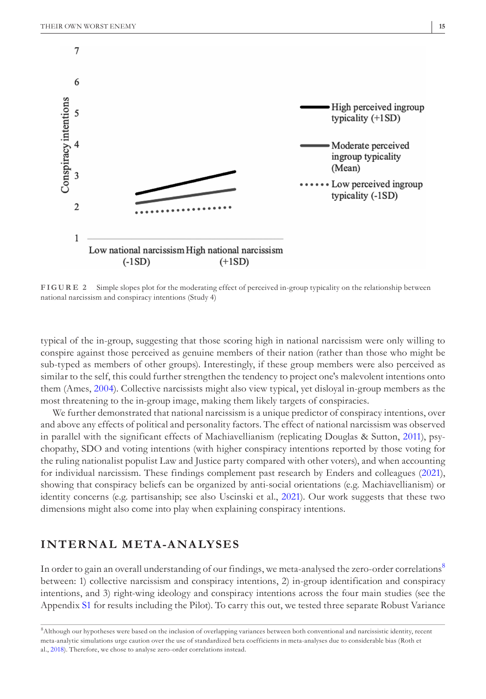

<span id="page-14-0"></span>**FIGURE 2** Simple slopes plot for the moderating effect of perceived in-group typicality on the relationship between national narcissism and conspiracy intentions (Study 4)

typical of the in-group, suggesting that those scoring high in national narcissism were only willing to conspire against those perceived as genuine members of their nation (rather than those who might be sub-typed as members of other groups). Interestingly, if these group members were also perceived as similar to the self, this could further strengthen the tendency to project one's malevolent intentions onto them (Ames, [2004](#page-18-0)). Collective narcissists might also view typical, yet disloyal in-group members as the most threatening to the in-group image, making them likely targets of conspiracies.

We further demonstrated that national narcissism is a unique predictor of conspiracy intentions, over and above any effects of political and personality factors. The effect of national narcissism was observed in parallel with the significant effects of Machiavellianism (replicating Douglas & Sutton, [2011](#page-20-2)), psychopathy, SDO and voting intentions (with higher conspiracy intentions reported by those voting for the ruling nationalist populist Law and Justice party compared with other voters), and when accounting for individual narcissism. These findings complement past research by Enders and colleagues ([2021](#page-20-20)), showing that conspiracy beliefs can be organized by anti-social orientations (e.g. Machiavellianism) or identity concerns (e.g. partisanship; see also Uscinski et al., [2021](#page-22-0)). Our work suggests that these two dimensions might also come into play when explaining conspiracy intentions.

## **INTERNAL META-ANALYSES**

In order to gain an overall understanding of our findings, we meta-analysed the zero-order correlations<sup>[8](#page-14-1)</sup> between: 1) collective narcissism and conspiracy intentions, 2) in-group identification and conspiracy intentions, and 3) right-wing ideology and conspiracy intentions across the four main studies (see the Appendix [S1](#page-22-11) for results including the Pilot). To carry this out, we tested three separate Robust Variance

<span id="page-14-1"></span><sup>8</sup> Although our hypotheses were based on the inclusion of overlapping variances between both conventional and narcissistic identity, recent meta-analytic simulations urge caution over the use of standardized beta coefficients in meta-analyses due to considerable bias (Roth et al., [2018\)](#page-22-15). Therefore, we chose to analyse zero-order correlations instead.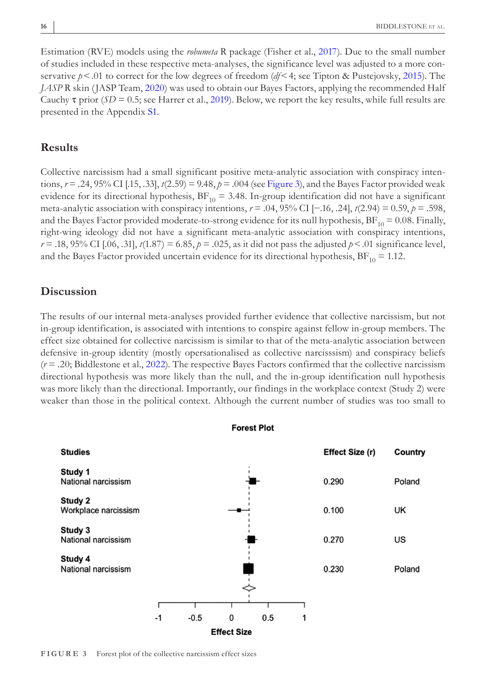Estimation (RVE) models using the *robumeta* R package (Fisher et al., [2017](#page-20-21)). Due to the small number of studies included in these respective meta-analyses, the significance level was adjusted to a more conservative *p*<.01 to correct for the low degrees of freedom (*df*<4; see Tipton & Pustejovsky, [2015\)](#page-22-16). The *JASP* R skin (JASP Team, [2020](#page-20-22)) was used to obtain our Bayes Factors, applying the recommended Half Cauchy  $\tau$  prior (*SD* = 0.5; see Harrer et al., [2019](#page-20-23)). Below, we report the key results, while full results are presented in the Appendix [S1.](#page-22-11)

## **Results**

Collective narcissism had a small significant positive meta-analytic association with conspiracy intentions,  $r = .24$ , 95% CI [.15, .33],  $t(2.59) = 9.48$ ,  $p = .004$  (see Figure [3\)](#page-15-0), and the Bayes Factor provided weak evidence for its directional hypothesis,  $BF_{10} = 3.48$ . In-group identification did not have a significant meta-analytic association with conspiracy intentions, *r* = .04, 95% CI [−.16, .24], *t*(2.94) = 0.59, *p* = .598, and the Bayes Factor provided moderate-to-strong evidence for its null hypothesis,  $BF_{10} = 0.08$ . Finally, right-wing ideology did not have a significant meta-analytic association with conspiracy intentions, *r* = .18, 95% CI [.06, .31],  $t(1.87) = 6.85$ ,  $p = .025$ , as it did not pass the adjusted  $p < .01$  significance level, and the Bayes Factor provided uncertain evidence for its directional hypothesis,  $BF_{10} = 1.12$ .

## **Discussion**

The results of our internal meta-analyses provided further evidence that collective narcissism, but not in-group identification, is associated with intentions to conspire against fellow in-group members. The effect size obtained for collective narcissism is similar to that of the meta-analytic association between defensive in-group identity (mostly opersationalised as collective narcisssism) and conspiracy beliefs (*r* = .20; Biddlestone et al., [2022\)](#page-19-18). The respective Bayes Factors confirmed that the collective narcissism directional hypothesis was more likely than the null, and the in-group identification null hypothesis was more likely than the directional. Importantly, our findings in the workplace context (Study 2) were weaker than those in the political context. Although the current number of studies was too small to



<span id="page-15-0"></span>**FIGURE 3** Forest plot of the collective narcissism effect sizes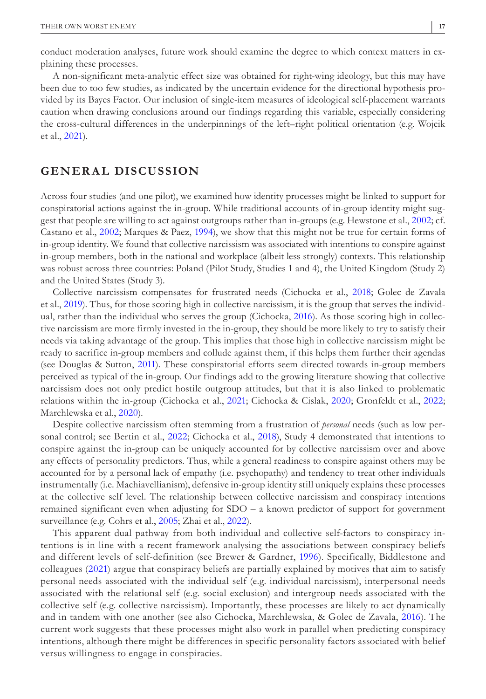conduct moderation analyses, future work should examine the degree to which context matters in explaining these processes.

A non-significant meta-analytic effect size was obtained for right-wing ideology, but this may have been due to too few studies, as indicated by the uncertain evidence for the directional hypothesis provided by its Bayes Factor. Our inclusion of single-item measures of ideological self-placement warrants caution when drawing conclusions around our findings regarding this variable, especially considering the cross-cultural differences in the underpinnings of the left–right political orientation (e.g. Wojcik et al., [2021\)](#page-22-17).

## **GENERAL DISCUSSION**

Across four studies (and one pilot), we examined how identity processes might be linked to support for conspiratorial actions against the in-group. While traditional accounts of in-group identity might suggest that people are willing to act against outgroups rather than in-groups (e.g. Hewstone et al., [2002](#page-20-24); cf. Castano et al., [2002;](#page-19-19) Marques & Paez, [1994](#page-21-12)), we show that this might not be true for certain forms of in-group identity. We found that collective narcissism was associated with intentions to conspire against in-group members, both in the national and workplace (albeit less strongly) contexts. This relationship was robust across three countries: Poland (Pilot Study, Studies 1 and 4), the United Kingdom (Study 2) and the United States (Study 3).

Collective narcissism compensates for frustrated needs (Cichocka et al., [2018](#page-19-6); Golec de Zavala et al., [2019](#page-20-8)). Thus, for those scoring high in collective narcissism, it is the group that serves the individual, rather than the individual who serves the group (Cichocka, [2016\)](#page-19-5). As those scoring high in collective narcissism are more firmly invested in the in-group, they should be more likely to try to satisfy their needs via taking advantage of the group. This implies that those high in collective narcissism might be ready to sacrifice in-group members and collude against them, if this helps them further their agendas (see Douglas & Sutton, [2011](#page-20-2)). These conspiratorial efforts seem directed towards in-group members perceived as typical of the in-group. Our findings add to the growing literature showing that collective narcissism does not only predict hostile outgroup attitudes, but that it is also linked to problematic relations within the in-group (Cichocka et al., [2021](#page-19-2); Cichocka & Cislak, [2020](#page-19-3); Gronfeldt et al., [2022](#page-20-14); Marchlewska et al., [2020\)](#page-21-4).

Despite collective narcissism often stemming from a frustration of *personal* needs (such as low per-sonal control; see Bertin et al., [2022;](#page-19-9) Cichocka et al., [2018\)](#page-19-6), Study 4 demonstrated that intentions to conspire against the in-group can be uniquely accounted for by collective narcissism over and above any effects of personality predictors. Thus, while a general readiness to conspire against others may be accounted for by a personal lack of empathy (i.e. psychopathy) and tendency to treat other individuals instrumentally (i.e. Machiavellianism), defensive in-group identity still uniquely explains these processes at the collective self level. The relationship between collective narcissism and conspiracy intentions remained significant even when adjusting for SDO – a known predictor of support for government surveillance (e.g. Cohrs et al., [2005](#page-19-17); Zhai et al., [2022](#page-22-14)).

This apparent dual pathway from both individual and collective self-factors to conspiracy intentions is in line with a recent framework analysing the associations between conspiracy beliefs and different levels of self-definition (see Brewer & Gardner, [1996\)](#page-19-20). Specifically, Biddlestone and colleagues ([2021](#page-19-21)) argue that conspiracy beliefs are partially explained by motives that aim to satisfy personal needs associated with the individual self (e.g. individual narcissism), interpersonal needs associated with the relational self (e.g. social exclusion) and intergroup needs associated with the collective self (e.g. collective narcissism). Importantly, these processes are likely to act dynamically and in tandem with one another (see also Cichocka, Marchlewska, & Golec de Zavala, [2016\)](#page-19-22). The current work suggests that these processes might also work in parallel when predicting conspiracy intentions, although there might be differences in specific personality factors associated with belief versus willingness to engage in conspiracies.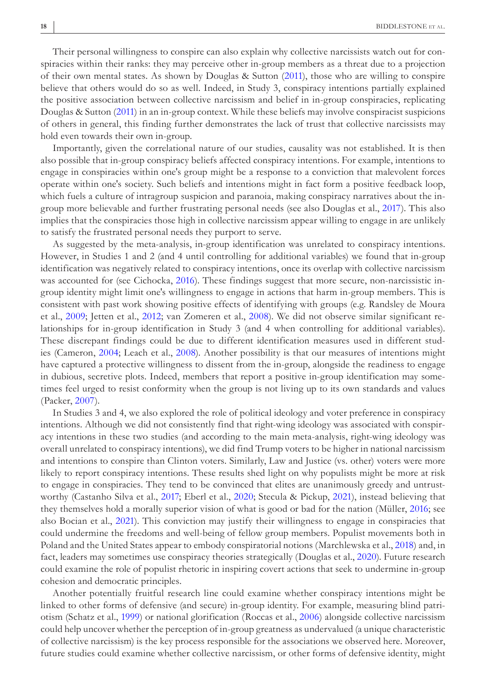Their personal willingness to conspire can also explain why collective narcissists watch out for conspiracies within their ranks: they may perceive other in-group members as a threat due to a projection of their own mental states. As shown by Douglas & Sutton ([2011\)](#page-20-2), those who are willing to conspire believe that others would do so as well. Indeed, in Study 3, conspiracy intentions partially explained the positive association between collective narcissism and belief in in-group conspiracies, replicating Douglas & Sutton ([2011\)](#page-20-2) in an in-group context. While these beliefs may involve conspiracist suspicions of others in general, this finding further demonstrates the lack of trust that collective narcissists may hold even towards their own in-group.

Importantly, given the correlational nature of our studies, causality was not established. It is then also possible that in-group conspiracy beliefs affected conspiracy intentions. For example, intentions to engage in conspiracies within one's group might be a response to a conviction that malevolent forces operate within one's society. Such beliefs and intentions might in fact form a positive feedback loop, which fuels a culture of intragroup suspicion and paranoia, making conspiracy narratives about the ingroup more believable and further frustrating personal needs (see also Douglas et al., [2017](#page-20-0)). This also implies that the conspiracies those high in collective narcissism appear willing to engage in are unlikely to satisfy the frustrated personal needs they purport to serve.

As suggested by the meta-analysis, in-group identification was unrelated to conspiracy intentions. However, in Studies 1 and 2 (and 4 until controlling for additional variables) we found that in-group identification was negatively related to conspiracy intentions, once its overlap with collective narcissism was accounted for (see Cichocka, [2016](#page-19-5)). These findings suggest that more secure, non-narcissistic ingroup identity might limit one's willingness to engage in actions that harm in-group members. This is consistent with past work showing positive effects of identifying with groups (e.g. Randsley de Moura et al., [2009](#page-21-23); Jetten et al., [2012;](#page-20-25) van Zomeren et al., [2008\)](#page-22-18). We did not observe similar significant relationships for in-group identification in Study 3 (and 4 when controlling for additional variables). These discrepant findings could be due to different identification measures used in different studies (Cameron, [2004](#page-19-4); Leach et al., [2008](#page-21-5)). Another possibility is that our measures of intentions might have captured a protective willingness to dissent from the in-group, alongside the readiness to engage in dubious, secretive plots. Indeed, members that report a positive in-group identification may sometimes feel urged to resist conformity when the group is not living up to its own standards and values (Packer, [2007\)](#page-21-24).

In Studies 3 and 4, we also explored the role of political ideology and voter preference in conspiracy intentions. Although we did not consistently find that right-wing ideology was associated with conspiracy intentions in these two studies (and according to the main meta-analysis, right-wing ideology was overall unrelated to conspiracy intentions), we did find Trump voters to be higher in national narcissism and intentions to conspire than Clinton voters. Similarly, Law and Justice (vs. other) voters were more likely to report conspiracy intentions. These results shed light on why populists might be more at risk to engage in conspiracies. They tend to be convinced that elites are unanimously greedy and untrustworthy (Castanho Silva et al., [2017](#page-19-8); Eberl et al., [2020;](#page-20-26) Stecula & Pickup, [2021\)](#page-22-19), instead believing that they themselves hold a morally superior vision of what is good or bad for the nation (Müller, [2016](#page-21-14); see also Bocian et al., [2021\)](#page-19-23). This conviction may justify their willingness to engage in conspiracies that could undermine the freedoms and well-being of fellow group members. Populist movements both in Poland and the United States appear to embody conspiratorial notions (Marchlewska et al., [2018\)](#page-21-13) and, in fact, leaders may sometimes use conspiracy theories strategically (Douglas et al., [2020\)](#page-20-27). Future research could examine the role of populist rhetoric in inspiring covert actions that seek to undermine in-group cohesion and democratic principles.

Another potentially fruitful research line could examine whether conspiracy intentions might be linked to other forms of defensive (and secure) in-group identity. For example, measuring blind patriotism (Schatz et al., [1999](#page-22-20)) or national glorification (Roccas et al., [2006\)](#page-21-8) alongside collective narcissism could help uncover whether the perception of in-group greatness as undervalued (a unique characteristic of collective narcissism) is the key process responsible for the associations we observed here. Moreover, future studies could examine whether collective narcissism, or other forms of defensive identity, might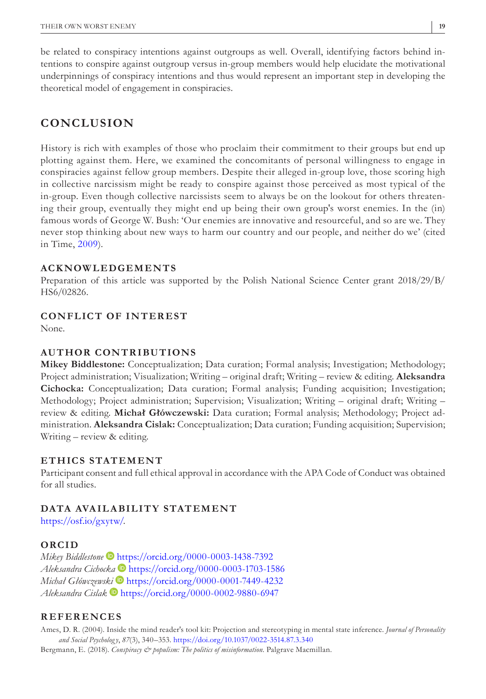be related to conspiracy intentions against outgroups as well. Overall, identifying factors behind intentions to conspire against outgroup versus in-group members would help elucidate the motivational underpinnings of conspiracy intentions and thus would represent an important step in developing the theoretical model of engagement in conspiracies.

# **CONCLUSION**

History is rich with examples of those who proclaim their commitment to their groups but end up plotting against them. Here, we examined the concomitants of personal willingness to engage in conspiracies against fellow group members. Despite their alleged in-group love, those scoring high in collective narcissism might be ready to conspire against those perceived as most typical of the in-group. Even though collective narcissists seem to always be on the lookout for others threatening their group, eventually they might end up being their own group's worst enemies. In the (in) famous words of George W. Bush: 'Our enemies are innovative and resourceful, and so are we. They never stop thinking about new ways to harm our country and our people, and neither do we' (cited in Time, [2009\)](#page-22-21).

#### **ACKNOWLEDGEMENTS**

Preparation of this article was supported by the Polish National Science Center grant 2018/29/B/ HS6/02826.

## **CONFLICT OF INTEREST**

None.

## **AUTHOR CONTRIBUTIONS**

**Mikey Biddlestone:** Conceptualization; Data curation; Formal analysis; Investigation; Methodology; Project administration; Visualization; Writing – original draft; Writing – review & editing. **Aleksandra Cichocka:** Conceptualization; Data curation; Formal analysis; Funding acquisition; Investigation; Methodology; Project administration; Supervision; Visualization; Writing – original draft; Writing – review & editing. **Michał Główczewski:** Data curation; Formal analysis; Methodology; Project administration. **Aleksandra Cislak:** Conceptualization; Data curation; Funding acquisition; Supervision; Writing – review & editing.

#### **ETHICS STATEMENT**

Participant consent and full ethical approval in accordance with the APA Code of Conduct was obtained for all studies.

## **DATA AVA ILABILITY STATEMENT**

[https://osf.io/gxytw/.](https://osf.io/gxytw/)

## **ORCID**

*Mikey Biddlestone* • <https://orcid.org/0000-0003-1438-7392> *Aleksandra Cichock[a](https://orcid.org/0000-0001-7449-4232)* <https://orcid.org/0000-0003-1703-1586> *Michał Główczews[ki](https://orcid.org/0000-0002-9880-6947)* <https://orcid.org/0000-0001-7449-4232> *Aleksandra Cislak* <https://orcid.org/0000-0002-9880-6947>

#### **REFERENCES**

<span id="page-18-0"></span>Ames, D. R. (2004). Inside the mind reader's tool kit: Projection and stereotyping in mental state inference. *Journal of Personality and Social Psycholog y*, *87*(3), 340–353. <https://doi.org/10.1037/0022-3514.87.3.340>

<span id="page-18-1"></span>Bergmann, E. (2018). *Conspiracy & populism: The politics of misinformation*. Palgrave Macmillan.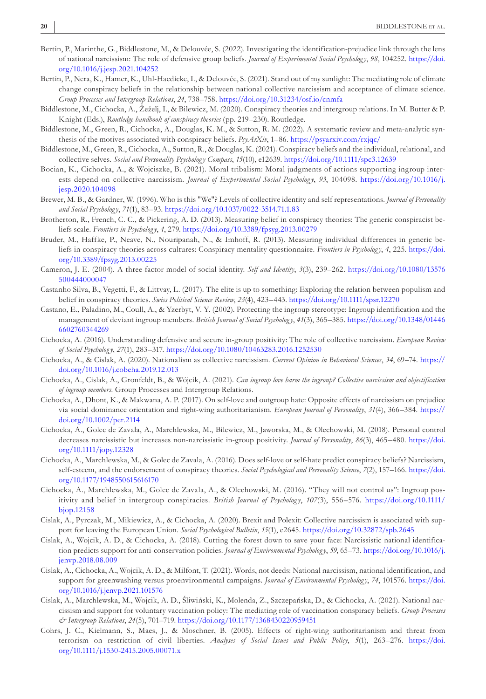- <span id="page-19-9"></span>Bertin, P., Marinthe, G., Biddlestone, M., & Delouvée, S. (2022). Investigating the identification-prejudice link through the lens of national narcissism: The role of defensive group beliefs. *Journal of Experimental Social Psycholog y*, *98*, 104252. [https://doi.](https://doi.org/10.1016/j.jesp.2021.104252) [org/10.1016/j.jesp.2021.104252](https://doi.org/10.1016/j.jesp.2021.104252)
- <span id="page-19-16"></span>Bertin, P., Nera, K., Hamer, K., Uhl-Haedicke, I., & Delouvée, S. (2021). Stand out of my sunlight: The mediating role of climate change conspiracy beliefs in the relationship between national collective narcissism and acceptance of climate science. *Group Processes and Intergroup Relations*, *24*, 738–758. <https://doi.org/10.31234/osf.io/cnmfa>
- <span id="page-19-0"></span>Biddlestone, M., Cichocka, A., Žeželj, I., & Bilewicz, M. (2020). Conspiracy theories and intergroup relations. In M. Butter & P. Knight (Eds.), *Routledge handbook of conspiracy theories* (pp. 219–230). Routledge.
- <span id="page-19-18"></span>Biddlestone, M., Green, R., Cichocka, A., Douglas, K. M., & Sutton, R. M. (2022). A systematic review and meta-analytic synthesis of the motives associated with conspiracy beliefs. *PsyArXiv*, 1–86. <https://psyarxiv.com/rxjqc/>
- <span id="page-19-21"></span>Biddlestone, M., Green, R., Cichocka, A., Sutton, R., & Douglas, K. (2021). Conspiracy beliefs and the individual, relational, and collective selves. *Social and Personality Psycholog y Compass*, *15*(10), e12639.<https://doi.org/10.1111/spc3.12639>
- <span id="page-19-23"></span>Bocian, K., Cichocka, A., & Wojciszke, B. (2021). Moral tribalism: Moral judgments of actions supporting ingroup interests depend on collective narcissism. *Journal of Experimental Social Psychology*, 93, 104098. [https://doi.org/10.1016/j.](https://doi.org/10.1016/j.jesp.2020.104098) [jesp.2020.104098](https://doi.org/10.1016/j.jesp.2020.104098)
- <span id="page-19-20"></span>Brewer, M. B., & Gardner, W. (1996). Who is this "We"? Levels of collective identity and self representations. *Journal of Personality and Social Psycholog y*, *71*(1), 83–93.<https://doi.org/10.1037/0022-3514.71.1.83>
- <span id="page-19-15"></span>Brotherton, R., French, C. C., & Pickering, A. D. (2013). Measuring belief in conspiracy theories: The generic conspiracist beliefs scale. *Frontiers in Psycholog y*, *4*, 279.<https://doi.org/10.3389/fpsyg.2013.00279>
- <span id="page-19-13"></span>Bruder, M., Haffke, P., Neave, N., Nouripanah, N., & Imhoff, R. (2013). Measuring individual differences in generic beliefs in conspiracy theories across cultures: Conspiracy mentality questionnaire. *Frontiers in Psycholog y*, *4*, 225. [https://doi.](https://doi.org/10.3389/fpsyg.2013.00225) [org/10.3389/fpsyg.2013.00225](https://doi.org/10.3389/fpsyg.2013.00225)
- <span id="page-19-4"></span>Cameron, J. E. (2004). A three-factor model of social identity. *Self and Identity*, *3*(3), 239–262. [https://doi.org/10.1080/13576](https://doi.org/10.1080/13576500444000047) [500444000047](https://doi.org/10.1080/13576500444000047)
- <span id="page-19-8"></span>Castanho Silva, B., Vegetti, F., & Littvay, L. (2017). The elite is up to something: Exploring the relation between populism and belief in conspiracy theories. *Swiss Political Science Review*, *23*(4), 423–443.<https://doi.org/10.1111/spsr.12270>
- <span id="page-19-19"></span>Castano, E., Paladino, M., Coull, A., & Yzerbyt, V. Y. (2002). Protecting the ingroup stereotype: Ingroup identification and the management of deviant ingroup members. *British Journal of Social Psychology*, 41(3), 365-385. [https://doi.org/10.1348/01446](https://doi.org/10.1348/014466602760344269) [6602760344269](https://doi.org/10.1348/014466602760344269)
- <span id="page-19-5"></span>Cichocka, A. (2016). Understanding defensive and secure in-group positivity: The role of collective narcissism. *European Review of Social Psycholog y*, *27*(1), 283–317. <https://doi.org/10.1080/10463283.2016.1252530>
- <span id="page-19-3"></span>Cichocka, A., & Cislak, A. (2020). Nationalism as collective narcissism. *Current Opinion in Behavioral Sciences*, *34*, 69–74. [https://](https://doi.org/10.1016/j.cobeha.2019.12.013) [doi.org/10.1016/j.cobeha.2019.12.013](https://doi.org/10.1016/j.cobeha.2019.12.013)
- <span id="page-19-2"></span>Cichocka, A., Cislak, A., Gronfeldt, B., & Wójcik, A. (2021). *Can ingroup love harm the ingroup? Collective narcissism and objectification of ingroup members*. Group Processes and Intergroup Relations.
- <span id="page-19-14"></span>Cichocka, A., Dhont, K., & Makwana, A. P. (2017). On self-love and outgroup hate: Opposite effects of narcissism on prejudice via social dominance orientation and right-wing authoritarianism. *European Journal of Personality*, *31*(4), 366–384. [https://](https://doi.org/10.1002/per.2114) [doi.org/10.1002/per.2114](https://doi.org/10.1002/per.2114)
- <span id="page-19-6"></span>Cichocka, A., Golec de Zavala, A., Marchlewska, M., Bilewicz, M., Jaworska, M., & Olechowski, M. (2018). Personal control decreases narcissistic but increases non-narcissistic in-group positivity. *Journal of Personality*, *86*(3), 465–480. [https://doi.](https://doi.org/10.1111/jopy.12328) [org/10.1111/jopy.12328](https://doi.org/10.1111/jopy.12328)
- <span id="page-19-22"></span>Cichocka, A., Marchlewska, M., & Golec de Zavala, A. (2016). Does self-love or self-hate predict conspiracy beliefs? Narcissism, self-esteem, and the endorsement of conspiracy theories. *Social Psychological and Personality Science*, *7*(2), 157–166. [https://doi.](https://doi.org/10.1177/1948550615616170) [org/10.1177/1948550615616170](https://doi.org/10.1177/1948550615616170)
- <span id="page-19-1"></span>Cichocka, A., Marchlewska, M., Golec de Zavala, A., & Olechowski, M. (2016). "They will not control us": Ingroup positivity and belief in intergroup conspiracies. *British Journal of Psychology*, 107(3), 556–576. [https://doi.org/10.1111/](https://doi.org/10.1111/bjop.12158) [bjop.12158](https://doi.org/10.1111/bjop.12158)
- <span id="page-19-7"></span>Cislak, A., Pyrczak, M., Mikiewicz, A., & Cichocka, A. (2020). Brexit and Polexit: Collective narcissism is associated with support for leaving the European Union. *Social Psychological Bulletin*, *15*(1), e2645.<https://doi.org/10.32872/spb.2645>
- <span id="page-19-11"></span>Cislak, A., Wojcik, A. D., & Cichocka, A. (2018). Cutting the forest down to save your face: Narcissistic national identification predicts support for anti-conservation policies. *Journal of Environmental Psycholog y*, *59*, 65–73. [https://doi.org/10.1016/j.](https://doi.org/10.1016/j.jenvp.2018.08.009) [jenvp.2018.08.009](https://doi.org/10.1016/j.jenvp.2018.08.009)
- <span id="page-19-12"></span>Cislak, A., Cichocka, A., Wojcik, A. D., & Milfont, T. (2021). Words, not deeds: National narcissism, national identification, and support for greenwashing versus proenvironmental campaigns. *Journal of Environmental Psycholog y*, *74*, 101576. [https://doi.](https://doi.org/10.1016/j.jenvp.2021.101576) [org/10.1016/j.jenvp.2021.101576](https://doi.org/10.1016/j.jenvp.2021.101576)
- <span id="page-19-10"></span>Cislak, A., Marchlewska, M., Wojcik, A. D., Śliwiński, K., Molenda, Z., Szczepańska, D., & Cichocka, A. (2021). National narcissism and support for voluntary vaccination policy: The mediating role of vaccination conspiracy beliefs. *Group Processes & Intergroup Relations*, *24*(5), 701–719.<https://doi.org/10.1177/1368430220959451>
- <span id="page-19-17"></span>Cohrs, J. C., Kielmann, S., Maes, J., & Moschner, B. (2005). Effects of right-wing authoritarianism and threat from terrorism on restriction of civil liberties. *Analyses of Social Issues and Public Policy*, *5*(1), 263–276. [https://doi.](https://doi.org/10.1111/j.1530-2415.2005.00071.x) [org/10.1111/j.1530-2415.2005.00071.x](https://doi.org/10.1111/j.1530-2415.2005.00071.x)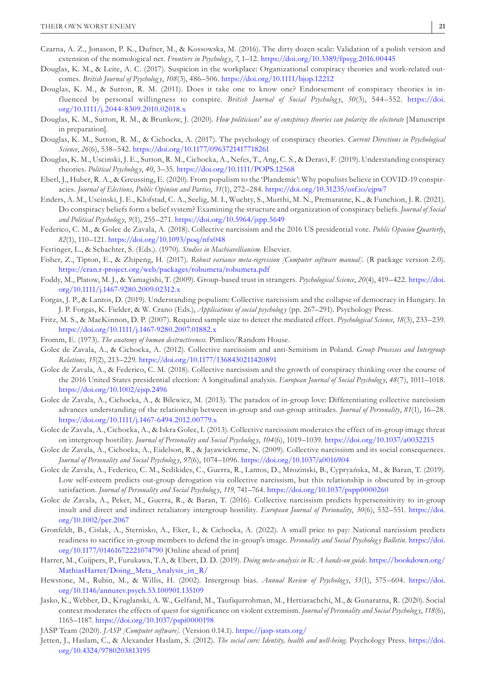- <span id="page-20-19"></span>Czarna, A. Z., Jonason, P. K., Dufner, M., & Kossowska, M. (2016). The dirty dozen scale: Validation of a polish version and extension of the nomological net. *Frontiers in Psycholog y*, *7*, 1–12.<https://doi.org/10.3389/fpsyg.2016.00445>
- <span id="page-20-17"></span>Douglas, K. M., & Leite, A. C. (2017). Suspicion in the workplace: Organizational conspiracy theories and work-related outcomes. *British Journal of Psycholog y*, *108*(3), 486–506. <https://doi.org/10.1111/bjop.12212>
- <span id="page-20-2"></span>Douglas, K. M., & Sutton, R. M. (2011). Does it take one to know one? Endorsement of conspiracy theories is influenced by personal willingness to conspire. *British Journal of Social Psychology*, 50(3), 544–552. [https://doi.](https://doi.org/10.1111/j.2044-8309.2010.02018.x) [org/10.1111/j.2044-8309.2010.02018.x](https://doi.org/10.1111/j.2044-8309.2010.02018.x)
- <span id="page-20-27"></span>Douglas, K. M., Sutton, R. M., & Brunkow, J. (2020). *How politicians' use of conspiracy theories can polarize the electorate* [Manuscript in preparation].
- <span id="page-20-0"></span>Douglas, K. M., Sutton, R. M., & Cichocka, A. (2017). The psychology of conspiracy theories. *Current Directions in Psychological Science*, *26*(6), 538–542. <https://doi.org/10.1177/0963721417718261>
- <span id="page-20-1"></span>Douglas, K. M., Uscinski, J. E., Sutton, R. M., Cichocka, A., Nefes, T., Ang, C. S., & Deravi, F. (2019). Understanding conspiracy theories. *Political Psycholog y*, *40*, 3–35.<https://doi.org/10.1111/POPS.12568>
- <span id="page-20-26"></span>Eberl, J., Huber, R. A., & Greussing, E. (2020). From populism to the 'Plandemic': Why populists believe in COVID-19 conspiracies. *Journal of Elections, Public Opinion and Parties*, *31*(1), 272–284. <https://doi.org/10.31235/osf.io/ejpw7>
- <span id="page-20-20"></span>Enders, A. M., Uscinski, J. E., Klofstad, C. A., Seelig, M. I., Wuchty, S., Murthi, M. N., Premaratne, K., & Funchion, J. R. (2021). Do conspiracy beliefs form a belief system? Examining the structure and organization of conspiracy beliefs. *Journal of Social and Political Psycholog y*, *9*(1), 255–271. <https://doi.org/10.5964/jspp.5649>
- <span id="page-20-12"></span>Federico, C. M., & Golec de Zavala, A. (2018). Collective narcissism and the 2016 US presidential vote. *Public Opinion Quarterly*, *82*(1), 110–121. <https://doi.org/10.1093/poq/nfx048>
- <span id="page-20-3"></span>Festinger, L., & Schachter, S. (Eds.). (1970). *Studies in Machiavellianism*. Elsevier.
- <span id="page-20-21"></span>Fisher, Z., Tipton, E., & Zhipeng, H. (2017). *Robust variance meta-regression [Computer software manual]*. (R package version 2.0). <https://cran.r-project.org/web/packages/robumeta/robumeta.pdf>
- <span id="page-20-15"></span>Foddy, M., Platow, M. J., & Yamagishi, T. (2009). Group-based trust in strangers. *Psychological Science*, *20*(4), 419–422. [https://doi.](https://doi.org/10.1111/j.1467-9280.2009.02312.x) [org/10.1111/j.1467-9280.2009.02312.x](https://doi.org/10.1111/j.1467-9280.2009.02312.x)
- <span id="page-20-13"></span>Forgas, J. P., & Lantos, D. (2019). Understanding populism: Collective narcissism and the collapse of democracy in Hungary. In J. P. Forgas, K. Fielder, & W. Crano (Eds.), *Applications of social psycholog y* (pp. 267–291). Psychology Press.
- <span id="page-20-18"></span>Fritz, M. S., & MacKinnon, D. P. (2007). Required sample size to detect the mediated effect. *Psychological Science*, *18*(3), 233–239. <https://doi.org/10.1111/j.1467-9280.2007.01882.x>
- <span id="page-20-7"></span>Fromm, E. (1973). *The anatomy of human destructiveness*. Pimlico/Random House.
- <span id="page-20-10"></span>Golec de Zavala, A., & Cichocka, A. (2012). Collective narcissism and anti-Semitism in Poland. *Group Processes and Intergroup Relations*, *15*(2), 213–229. <https://doi.org/10.1177/1368430211420891>
- <span id="page-20-11"></span>Golec de Zavala, A., & Federico, C. M. (2018). Collective narcissism and the growth of conspiracy thinking over the course of the 2016 United States presidential election: A longitudinal analysis. *European Journal of Social Psycholog y*, *48*(7), 1011–1018. <https://doi.org/10.1002/ejsp.2496>
- <span id="page-20-16"></span>Golec de Zavala, A., Cichocka, A., & Bilewicz, M. (2013). The paradox of in-group love: Differentiating collective narcissism advances understanding of the relationship between in-group and out-group attitudes. *Journal of Personality*, *81*(1), 16–28. <https://doi.org/10.1111/j.1467-6494.2012.00779.x>
- <span id="page-20-9"></span>Golec de Zavala, A., Cichocka, A., & Iskra Golec, I. (2013). Collective narcissism moderates the effect of in-group image threat on intergroup hostility. *Journal of Personality and Social Psycholog y*, *104*(6), 1019–1039. <https://doi.org/10.1037/a0032215>
- <span id="page-20-4"></span>Golec de Zavala, A., Cichocka, A., Eidelson, R., & Jayawickreme, N. (2009). Collective narcissism and its social consequences. *Journal of Personality and Social Psycholog y*, *97*(6), 1074–1096. <https://doi.org/10.1037/a0016904>
- <span id="page-20-8"></span>Golec de Zavala, A., Federico, C. M., Sedikides, C., Guerra, R., Lantos, D., Mrozinski, B., Cypryańska, M., & Baran, T. (2019). Low self-esteem predicts out-group derogation via collective narcissism, but this relationship is obscured by in-group satisfaction. *Journal of Personality and Social Psycholog y*, *119*, 741–764.<https://doi.org/10.1037/pspp0000260>
- <span id="page-20-5"></span>Golec de Zavala, A., Peker, M., Guerra, R., & Baran, T. (2016). Collective narcissism predicts hypersensitivity to in-group insult and direct and indirect retaliatory intergroup hostility. *European Journal of Personality*, *30*(6), 532–551. [https://doi.](https://doi.org/10.1002/per.2067) [org/10.1002/per.2067](https://doi.org/10.1002/per.2067)
- <span id="page-20-14"></span>Gronfeldt, B., Cislak, A., Sternisko, A., Eker, I., & Cichocka, A. (2022). A small price to pay: National narcissism predicts readiness to sacrifice in-group members to defend the in-group's image. *Personality and Social Psychology Bulletin*. [https://doi.](https://doi.org/10.1177/01461672221074790) [org/10.1177/01461672221074790](https://doi.org/10.1177/01461672221074790) [Online ahead of print]
- <span id="page-20-23"></span>Harrer, M., Cuijpers, P., Furukawa, T.A, & Ebert, D. D. (2019). *Doing meta-analysis in R: A hands-on guide*. [https://bookdown.org/](https://bookdown.org/MathiasHarrer/Doing_Meta_Analysis_in_R/) [MathiasHarrer/Doing\\_Meta\\_Analysis\\_in\\_R/](https://bookdown.org/MathiasHarrer/Doing_Meta_Analysis_in_R/)
- <span id="page-20-24"></span>Hewstone, M., Rubin, M., & Willis, H. (2002). Intergroup bias. *Annual Review of Psychology*, 53(1), 575–604. [https://doi.](https://doi.org/10.1146/annurev.psych.53.100901.135109) [org/10.1146/annurev.psych.53.100901.135109](https://doi.org/10.1146/annurev.psych.53.100901.135109)
- <span id="page-20-6"></span>Jasko, K., Webber, D., Kruglanski, A. W., Gelfand, M., Taufiqurrohman, M., Hettiarachchi, M., & Gunaratna, R. (2020). Social context moderates the effects of quest for significance on violent extremism. *Journal of Personality and Social Psycholog y*, *118*(6), 1165–1187.<https://doi.org/10.1037/pspi0000198>

<span id="page-20-22"></span>JASP Team (2020). *JASP [Computer software]*. (Version 0.14.1).<https://jasp-stats.org/>

<span id="page-20-25"></span>Jetten, J., Haslam, C., & Alexander Haslam, S. (2012). *The social cure: Identity, health and well-being*. Psychology Press. [https://doi.](https://doi.org/10.4324/9780203813195) [org/10.4324/9780203813195](https://doi.org/10.4324/9780203813195)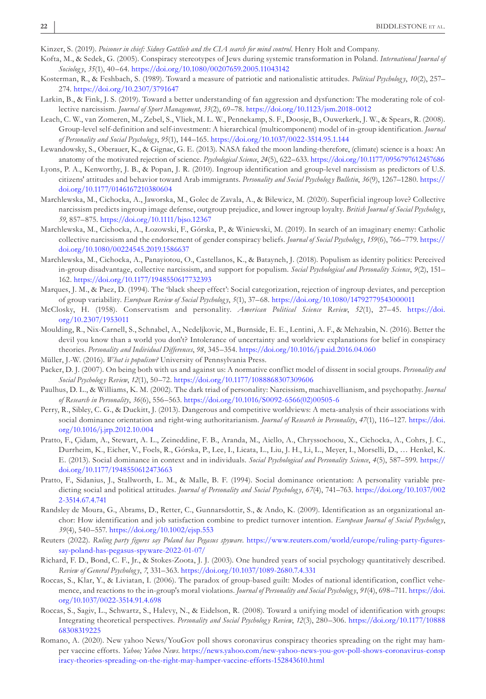<span id="page-21-0"></span>Kinzer, S. (2019). *Poisoner in chief: Sidney Gottlieb and the CIA search for mind control*. Henry Holt and Company.

- <span id="page-21-19"></span>Kofta, M., & Sedek, G. (2005). Conspiracy stereotypes of Jews during systemic transformation in Poland. *International Journal of Sociolog y*, *35*(1), 40–64.<https://doi.org/10.1080/00207659.2005.11043142>
- <span id="page-21-6"></span>Kosterman, R., & Feshbach, S. (1989). Toward a measure of patriotic and nationalistic attitudes. *Political Psychology*, 10(2), 257– 274.<https://doi.org/10.2307/3791647>
- <span id="page-21-11"></span>Larkin, B., & Fink, J. S. (2019). Toward a better understanding of fan aggression and dysfunction: The moderating role of collective narcissism. *Journal of Sport Management*, *33*(2), 69–78.<https://doi.org/10.1123/jsm.2018-0012>
- <span id="page-21-5"></span>Leach, C. W., van Zomeren, M., Zebel, S., Vliek, M. L. W., Pennekamp, S. F., Doosje, B., Ouwerkerk, J. W., & Spears, R. (2008). Group-level self-definition and self-investment: A hierarchical (multicomponent) model of in-group identification. *Journal of Personality and Social Psycholog y*, *95*(1), 144–165.<https://doi.org/10.1037/0022-3514.95.1.144>
- <span id="page-21-3"></span>Lewandowsky, S., Oberauer, K., & Gignac, G. E. (2013). NASA faked the moon landing-therefore, (climate) science is a hoax: An anatomy of the motivated rejection of science. *Psychological Science*, *24*(5), 622–633.<https://doi.org/10.1177/0956797612457686>
- <span id="page-21-7"></span>Lyons, P. A., Kenworthy, J. B., & Popan, J. R. (2010). Ingroup identification and group-level narcissism as predictors of U.S. citizens' attitudes and behavior toward Arab immigrants. *Personality and Social Psychology Bulletin*, 36(9), 1267-1280. [https://](https://doi.org/10.1177/0146167210380604) [doi.org/10.1177/0146167210380604](https://doi.org/10.1177/0146167210380604)
- <span id="page-21-4"></span>Marchlewska, M., Cichocka, A., Jaworska, M., Golec de Zavala, A., & Bilewicz, M. (2020). Superficial ingroup love? Collective narcissism predicts ingroup image defense, outgroup prejudice, and lower ingroup loyalty. *British Journal of Social Psycholog y*, *59*, 857–875. <https://doi.org/10.1111/bjso.12367>
- <span id="page-21-10"></span>Marchlewska, M., Cichocka, A., Łozowski, F., Górska, P., & Winiewski, M. (2019). In search of an imaginary enemy: Catholic collective narcissism and the endorsement of gender conspiracy beliefs. *Journal of Social Psycholog y*, *159*(6), 766–779. [https://](https://doi.org/10.1080/00224545.2019.1586637) [doi.org/10.1080/00224545.2019.1586637](https://doi.org/10.1080/00224545.2019.1586637)
- <span id="page-21-13"></span>Marchlewska, M., Cichocka, A., Panayiotou, O., Castellanos, K., & Batayneh, J. (2018). Populism as identity politics: Perceived in-group disadvantage, collective narcissism, and support for populism. *Social Psychological and Personality Science*, *9*(2), 151– 162. <https://doi.org/10.1177/1948550617732393>
- <span id="page-21-12"></span>Marques, J. M., & Paez, D. (1994). The 'black sheep effect': Social categorization, rejection of ingroup deviates, and perception of group variability. *European Review of Social Psycholog y*, *5*(1), 37–68.<https://doi.org/10.1080/14792779543000011>
- <span id="page-21-1"></span>McClosky, H. (1958). Conservatism and personality. *American Political Science Review*, *52*(1), 27–45. [https://doi.](https://doi.org/10.2307/1953011) [org/10.2307/1953011](https://doi.org/10.2307/1953011)
- <span id="page-21-17"></span>Moulding, R., Nix-Carnell, S., Schnabel, A., Nedeljkovic, M., Burnside, E. E., Lentini, A. F., & Mehzabin, N. (2016). Better the devil you know than a world you don't? Intolerance of uncertainty and worldview explanations for belief in conspiracy theories. *Personality and Individual Differences*, *98*, 345–354. <https://doi.org/10.1016/j.paid.2016.04.060>
- <span id="page-21-14"></span>Müller, J.-W. (2016). *What is populism?* University of Pennsylvania Press.
- <span id="page-21-24"></span>Packer, D. J. (2007). On being both with us and against us: A normative conflict model of dissent in social groups. *Personality and Social Psycholog y Review*, *12*(1), 50–72.<https://doi.org/10.1177/1088868307309606>
- <span id="page-21-2"></span>Paulhus, D. L., & Williams, K. M. (2002). The dark triad of personality: Narcissism, machiavellianism, and psychopathy. *Journal of Research in Personality*, *36*(6), 556–563. [https://doi.org/10.1016/S0092-6566\(02\)00505-6](https://doi.org/10.1016/S0092-6566(02)00505-6)
- <span id="page-21-21"></span>Perry, R., Sibley, C. G., & Duckitt, J. (2013). Dangerous and competitive worldviews: A meta-analysis of their associations with social dominance orientation and right-wing authoritarianism. *Journal of Research in Personality*, *47*(1), 116–127. [https://doi.](https://doi.org/10.1016/j.jrp.2012.10.004) [org/10.1016/j.jrp.2012.10.004](https://doi.org/10.1016/j.jrp.2012.10.004)
- <span id="page-21-22"></span>Pratto, F., Çidam, A., Stewart, A. L., Zeineddine, F. B., Aranda, M., Aiello, A., Chryssochoou, X., Cichocka, A., Cohrs, J. C., Durrheim, K., Eicher, V., Foels, R., Górska, P., Lee, I., Licata, L., Liu, J. H., Li, L., Meyer, I., Morselli, D., … Henkel, K. E. (2013). Social dominance in context and in individuals. *Social Psychological and Personality Science*, *4*(5), 587–599. [https://](https://doi.org/10.1177/1948550612473663) [doi.org/10.1177/1948550612473663](https://doi.org/10.1177/1948550612473663)
- <span id="page-21-20"></span>Pratto, F., Sidanius, J., Stallworth, L. M., & Malle, B. F. (1994). Social dominance orientation: A personality variable predicting social and political attitudes. *Journal of Personality and Social Psychology*, 67(4), 741–763. [https://doi.org/10.1037/002](https://doi.org/10.1037/0022-3514.67.4.741) [2-3514.67.4.741](https://doi.org/10.1037/0022-3514.67.4.741)
- <span id="page-21-23"></span>Randsley de Moura, G., Abrams, D., Retter, C., Gunnarsdottir, S., & Ando, K. (2009). Identification as an organizational anchor: How identification and job satisfaction combine to predict turnover intention. *European Journal of Social Psychology*, *39*(4), 540–557.<https://doi.org/10.1002/ejsp.553>
- <span id="page-21-15"></span>Reuters (2022). *Ruling party figures say Poland has Pegasus spyware*. [https://www.reuters.com/world/europe/ruling-party-figures](https://www.reuters.com/world/europe/ruling-party-figures-say-poland-has-pegasus-spyware-2022-01-07/)[say-poland-has-pegasus-spyware-2022-01-07/](https://www.reuters.com/world/europe/ruling-party-figures-say-poland-has-pegasus-spyware-2022-01-07/)
- <span id="page-21-18"></span>Richard, F. D., Bond, C. F., Jr., & Stokes-Zoota, J. J. (2003). One hundred years of social psychology quantitatively described. *Review of General Psycholog y*, *7*, 331–363. <https://doi.org/10.1037/1089-2680.7.4.331>
- <span id="page-21-8"></span>Roccas, S., Klar, Y., & Liviatan, I. (2006). The paradox of group-based guilt: Modes of national identification, conflict vehemence, and reactions to the in-group's moral violations. *Journal of Personality and Social Psycholog y*, *91*(4), 698–711. [https://doi.](https://doi.org/10.1037/0022-3514.91.4.698) [org/10.1037/0022-3514.91.4.698](https://doi.org/10.1037/0022-3514.91.4.698)
- <span id="page-21-9"></span>Roccas, S., Sagiv, L., Schwartz, S., Halevy, N., & Eidelson, R. (2008). Toward a unifying model of identification with groups: Integrating theoretical perspectives. Personality and Social Psychology Review, 12(3), 280-306. [https://doi.org/10.1177/10888](https://doi.org/10.1177/1088868308319225) [68308319225](https://doi.org/10.1177/1088868308319225)
- <span id="page-21-16"></span>Romano, A. (2020). New yahoo News/YouGov poll shows coronavirus conspiracy theories spreading on the right may hamper vaccine efforts. *Yahoo; Yahoo News*. [https://news.yahoo.com/new-yahoo-news-you-gov-poll-shows-coronavirus-consp](https://news.yahoo.com/new-yahoo-news-you-gov-poll-shows-coronavirus-conspiracy-theories-spreading-on-the-right-may-hamper-vaccine-efforts-152843610.html) [iracy-theories-spreading-on-the-right-may-hamper-vaccine-efforts-152843610.html](https://news.yahoo.com/new-yahoo-news-you-gov-poll-shows-coronavirus-conspiracy-theories-spreading-on-the-right-may-hamper-vaccine-efforts-152843610.html)